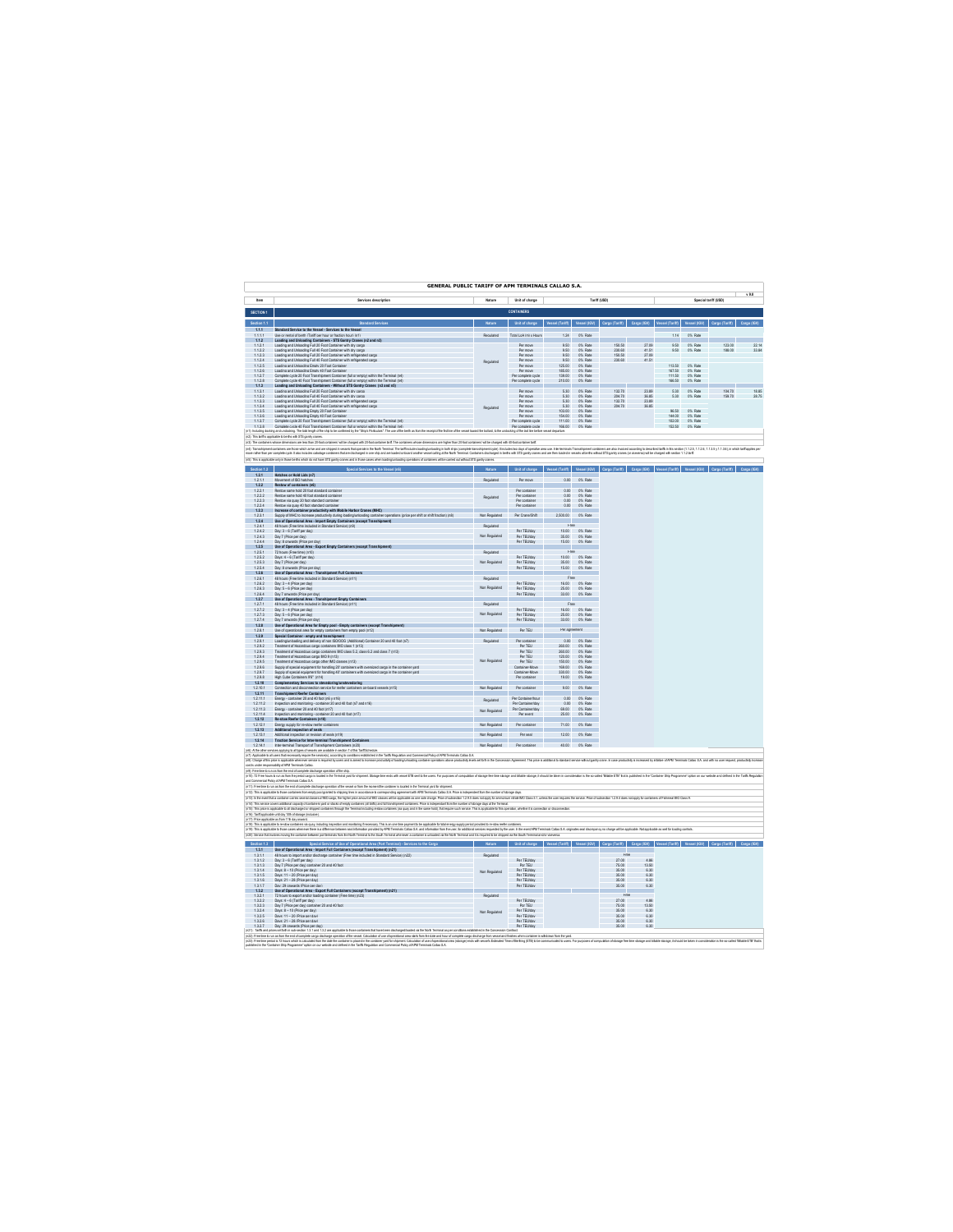|                                           | <b>GENERAL PUBLIC TARIFF OF APM TERMINALS CALLAO S.A.</b>                                                                                                                                                                                                                                                                                                                                                      |                                                                                                                                                                                                                                   |                                                                                                                                |                         |                                  |                                                                                      |                      |                  |                               |                                                                                                                                                                                                                                      |       |
|-------------------------------------------|----------------------------------------------------------------------------------------------------------------------------------------------------------------------------------------------------------------------------------------------------------------------------------------------------------------------------------------------------------------------------------------------------------------|-----------------------------------------------------------------------------------------------------------------------------------------------------------------------------------------------------------------------------------|--------------------------------------------------------------------------------------------------------------------------------|-------------------------|----------------------------------|--------------------------------------------------------------------------------------|----------------------|------------------|-------------------------------|--------------------------------------------------------------------------------------------------------------------------------------------------------------------------------------------------------------------------------------|-------|
| Item                                      | Services description                                                                                                                                                                                                                                                                                                                                                                                           | Nature                                                                                                                                                                                                                            | Unit of charge                                                                                                                 |                         |                                  | Tariff (USD)                                                                         |                      |                  |                               |                                                                                                                                                                                                                                      |       |
| SECTION 1                                 |                                                                                                                                                                                                                                                                                                                                                                                                                |                                                                                                                                                                                                                                   | <b>CONTAINERS</b>                                                                                                              |                         |                                  |                                                                                      |                      |                  |                               |                                                                                                                                                                                                                                      |       |
| 660855                                    | Standard Sa                                                                                                                                                                                                                                                                                                                                                                                                    |                                                                                                                                                                                                                                   | Unit of charge                                                                                                                 |                         |                                  | Vessel (Tariff) Vessel (IGV) Caroo (Tariff) Caroo (IGV) Vessel (Tariff) Vessel (IGV) |                      |                  |                               | Caron (Tariff)                                                                                                                                                                                                                       |       |
| 1.1.1<br>1111                             | Standard Service to the Vessel - Services to the Vessel<br>I ke or rental of herth (Tariff ner hour or fraction hour) (n1)                                                                                                                                                                                                                                                                                     | Renulated                                                                                                                                                                                                                         | Total LoA (m) y Hours                                                                                                          | 124                     | O% Rate                          |                                                                                      |                      | 114              | O% Rate                       |                                                                                                                                                                                                                                      |       |
| 1.1.2<br>1.12.1                           | Loading and Unloading Containers - STS Gantry Cranes (n2 and n3)<br>Loading and Unloading Full 20 Foot Container with dry cargo                                                                                                                                                                                                                                                                                |                                                                                                                                                                                                                                   | Per move                                                                                                                       | 9.50                    | 0% Rate                          | 150.50                                                                               | 27.09                | 9.50             | 0% Rate                       | 123.00                                                                                                                                                                                                                               | 22.14 |
| 1122<br>1123                              | Loading and Uninadian Full 40 Foot Container with dougarno<br>Loading and Unigating Full 20 Foot Container with redrigerated comp                                                                                                                                                                                                                                                                              |                                                                                                                                                                                                                                   | Por move<br><b>Ret move</b>                                                                                                    | 950<br>950              | O% Rate<br>O% Rate               | 230.60<br>15050                                                                      | 41.51<br>27.05       | 950              | O% Rate                       | 188.00                                                                                                                                                                                                                               | 33.84 |
| 1.124                                     | Loading and Unioading Full 40 Foot Container with refrigerated cargo                                                                                                                                                                                                                                                                                                                                           | Regulated                                                                                                                                                                                                                         | Par move                                                                                                                       | 9.50                    | 0% Rate                          | 230.60                                                                               | 41.51                |                  |                               |                                                                                                                                                                                                                                      |       |
| 1.125<br>1126                             | Loading and Unloading Empty 20 Foot Container<br>Loading and Uninadian Fresh 40 Fort Container                                                                                                                                                                                                                                                                                                                 |                                                                                                                                                                                                                                   | Per move<br>Por mnue                                                                                                           | 125.00<br>185.00        | 0% Rate<br>O% Rate               |                                                                                      |                      | 113.50<br>167.50 | 0% Rate<br>O% Rate            |                                                                                                                                                                                                                                      |       |
| $1.127$<br>$1.128$                        | Loading and createrist Embry or Pops Container (full or empty) within the Terminal (n4)<br>Complete cycle 20 Foot Transhipment Container (full or empty) within the Terminal (n4)<br>Loading and Unloading Containers - Without STS                                                                                                                                                                            |                                                                                                                                                                                                                                   | Per complete cycle<br>Per complete cycle                                                                                       | 139.00<br>210.00        | 0% Rate<br>0% Rate               |                                                                                      |                      | 111.50<br>166.50 | 0% Rate<br>0% Rate            |                                                                                                                                                                                                                                      |       |
| 1.1.3<br>1.13.1                           |                                                                                                                                                                                                                                                                                                                                                                                                                |                                                                                                                                                                                                                                   | Por mnue                                                                                                                       | 5.30                    | O% Rate                          | 132.70                                                                               | 23.89                | 5.30             | O% Rate                       | 104.70                                                                                                                                                                                                                               | 18.85 |
| 1.132<br>1.133                            | Loading and Unioading Full 20 Foot Container with dry careo<br>Loading and Unloading Full 20 Foot Container with refrigerated cargo                                                                                                                                                                                                                                                                            |                                                                                                                                                                                                                                   | Par move<br>Per move                                                                                                           | $\frac{5.30}{5.30}$     | 0% Rate<br>0% Rate               | 204.70                                                                               | 36.85<br>23.89       | 5.30             | 0% Rate                       | 159.70                                                                                                                                                                                                                               | 28.75 |
| 1134<br>1135                              | Loading and Uningdian Full 40 Ford Container with refrigerated comm                                                                                                                                                                                                                                                                                                                                            | Repulated                                                                                                                                                                                                                         | Por mnue                                                                                                                       | 5,30<br>102.00          | ON: Rate<br>O% Rate              | 204.70                                                                               | 36.85                | 96.50            |                               |                                                                                                                                                                                                                                      |       |
| 1.137                                     | Loading and Unioading Empty 20 Foot Container<br>Complete cycle 20 Foot Transhipment Container (full or empty) within the Terminal (n4)                                                                                                                                                                                                                                                                        |                                                                                                                                                                                                                                   | Per move<br>Per complete cycle                                                                                                 | 111.00                  | 0% Rate                          |                                                                                      |                      | 144.00<br>102.00 | 0% Rate<br>0% Rate<br>0% Rate |                                                                                                                                                                                                                                      |       |
| 1138                                      | Complete cycle 40 Foot Transhipment Container (full or empty) within the Terminal (n4)<br>ing and undocking. The ideal angle of the ship to be confirmed by the "Ship's Particulars". The use of the berth as from the receiptof the finition of the vassel board the bollard, to the un                                                                                                                       |                                                                                                                                                                                                                                   | Por complete cycle<br>ding of the last line before                                                                             | 166.00<br>artane.       | O% Rate                          |                                                                                      |                      | 152.50           | O% Rate                       |                                                                                                                                                                                                                                      |       |
| ncluding o<br>in3): The cr                | (r2): This terif is applicable to be the with STS gantly cranes<br>ons are less than 20-bot conta<br>ers' will be charged with 20-foot container tariff. The containers whose director<br>.<br>ns ara hinhar than 20 José re                                                                                                                                                                                   |                                                                                                                                                                                                                                   | hers' will be charged with 40-bot container terif.                                                                             |                         |                                  |                                                                                      |                      |                  |                               |                                                                                                                                                                                                                                      |       |
|                                           | .<br>[45] Tensabjewetconteasue tose wich anw and are showd in wasak fait come in the formial. The telf of club is badiguidading in both sign (combit tensalignment) is include to club and on the services in the badigment of th                                                                                                                                                                              |                                                                                                                                                                                                                                   |                                                                                                                                |                         | sala Transahir                   |                                                                                      |                      |                  |                               | .<br>Nanahipmert contenes are also invoced according to described terifs in this sector (1.1.2.5, 1.1.2.6, 1.1.3.5 y 1.1.3.6), in which terif applies pe<br>asels at berfor without STS garity cranes (or viceversa) will be charged |       |
|                                           | (n5): This is applicable only in fices bette which do nothere STS canty cranes and in frose cases when loading/unicading coerations of conteners will be cented out whout STS canty cranes.                                                                                                                                                                                                                    |                                                                                                                                                                                                                                   |                                                                                                                                |                         |                                  |                                                                                      |                      |                  |                               |                                                                                                                                                                                                                                      |       |
| Section 1.2                               | Special Services to the Vessel ()                                                                                                                                                                                                                                                                                                                                                                              |                                                                                                                                                                                                                                   | Unit of charge Vessel (Tariff) Vessel (IGV) Cargo (Tariff) Cargo (IGV) Vessel (Tariff) Vessel (IGV) Cargo (Tariff) Cargo (IGV) |                         |                                  |                                                                                      |                      |                  |                               |                                                                                                                                                                                                                                      |       |
| 1211                                      | 1.2.1 Hatches or Hold Lids (n7)<br>Movement of ISO hatches                                                                                                                                                                                                                                                                                                                                                     | Renulated                                                                                                                                                                                                                         | Por mnue                                                                                                                       | 0.00                    | O% Rate                          |                                                                                      |                      |                  |                               |                                                                                                                                                                                                                                      |       |
| 1.2.2                                     | ners (n6                                                                                                                                                                                                                                                                                                                                                                                                       |                                                                                                                                                                                                                                   |                                                                                                                                |                         |                                  |                                                                                      |                      |                  |                               |                                                                                                                                                                                                                                      |       |
| 1.2.2.1<br>1222                           | Restow same hold 20 foot standard container<br>Restow same hold 40 foot standard container                                                                                                                                                                                                                                                                                                                     | Repulated                                                                                                                                                                                                                         | Per container<br>Por containar                                                                                                 | 0.00<br>0.00            | 0% Rate<br>O% Rate               |                                                                                      |                      |                  |                               |                                                                                                                                                                                                                                      |       |
| 1223<br>1.224                             | Restow via quay 20 foot standard container<br>Restow via quay 40 foot standard container                                                                                                                                                                                                                                                                                                                       |                                                                                                                                                                                                                                   | Per containe<br>Per container                                                                                                  | $\overline{50}$<br>0.00 | 0% Rate<br>0% Rate               |                                                                                      |                      |                  |                               |                                                                                                                                                                                                                                      |       |
| 1.2.3                                     | Increase of container productivity with Mobile Harbor Cranes (MHC)                                                                                                                                                                                                                                                                                                                                             | Non Renulated                                                                                                                                                                                                                     | Per Crane/Shift                                                                                                                | 2.500.00                | O% Rate                          |                                                                                      |                      |                  |                               |                                                                                                                                                                                                                                      |       |
| $\frac{123.1}{1.24}$<br>1.24.1            | Succiv of MHC to increase productivity during loading unbading container coarations (orice per shift or shift fraction) (n8)<br>48 hours (Free time included in Standard Service) (n9)                                                                                                                                                                                                                         | Repulsted                                                                                                                                                                                                                         |                                                                                                                                | Free                    |                                  |                                                                                      |                      |                  |                               |                                                                                                                                                                                                                                      |       |
| 1242<br>1243                              | Day: 3 - 6 (Tariff per day)<br>Day 7 (Price per day)                                                                                                                                                                                                                                                                                                                                                           | Non Regulated                                                                                                                                                                                                                     | Per TEUlday<br>Por TFI liter                                                                                                   | 2500                    | 10.00 0% Rate<br><b>ON: Date</b> |                                                                                      |                      |                  |                               |                                                                                                                                                                                                                                      |       |
| 1.244                                     | Day: 8 cowards (Price per day)                                                                                                                                                                                                                                                                                                                                                                                 |                                                                                                                                                                                                                                   | Per TEUrday                                                                                                                    | 15.00                   | 0% Rate                          |                                                                                      |                      |                  |                               |                                                                                                                                                                                                                                      |       |
| 125<br>1.25.1                             | Ilse of Operational Area - French Fresh: Containers (excert Transhiersent)<br>72 hours (Free time) (n10)                                                                                                                                                                                                                                                                                                       | <b>Description</b>                                                                                                                                                                                                                |                                                                                                                                | Fre                     |                                  |                                                                                      |                      |                  |                               |                                                                                                                                                                                                                                      |       |
| 1.252<br>1253                             | Days: 4 - 6 (Tariff per day)<br>Day 7 (Price ner day)                                                                                                                                                                                                                                                                                                                                                          | Non Regulated                                                                                                                                                                                                                     | Per TEUlday<br>Por TFI liter                                                                                                   | 35.00                   | 10.00 0% Rate<br>O% Rate         |                                                                                      |                      |                  |                               |                                                                                                                                                                                                                                      |       |
| 1254<br>1.2.6                             | Cuy: 8 covered only<br>Day: 8 covereds (Price per day)<br>Use of Operational Area - Transhipment Full Containers                                                                                                                                                                                                                                                                                               |                                                                                                                                                                                                                                   | Per TEUlday                                                                                                                    | 15.00                   | 0% Rate                          |                                                                                      |                      |                  |                               |                                                                                                                                                                                                                                      |       |
| 1261<br>1262                              | 48 hours (Free time included in Standard Service) (n11)<br>Day: 3 - 4 (Price per day)                                                                                                                                                                                                                                                                                                                          | Rendated                                                                                                                                                                                                                          | Per TEUlday                                                                                                                    | Free<br>16.00           | 0% Rate                          |                                                                                      |                      |                  |                               |                                                                                                                                                                                                                                      |       |
| 1,263<br>1264                             | Day: 5 - 6 (Price per day)<br>Day 7 cowards (Price net day)                                                                                                                                                                                                                                                                                                                                                    | Non Regulated                                                                                                                                                                                                                     | Per TEUlday<br>Por TFI liter                                                                                                   | 25.00<br>33m            | 0% Rate<br>O% Rate               |                                                                                      |                      |                  |                               |                                                                                                                                                                                                                                      |       |
| 1.2.7                                     | Use of Operational Area - Transhipment Empty Contains and Area - Transhipment Empty Contains                                                                                                                                                                                                                                                                                                                   |                                                                                                                                                                                                                                   |                                                                                                                                |                         |                                  |                                                                                      |                      |                  |                               |                                                                                                                                                                                                                                      |       |
| 127.1<br>1272                             | Day 3 - 4 (Price not day)                                                                                                                                                                                                                                                                                                                                                                                      | Repulated                                                                                                                                                                                                                         | Per TFI liter                                                                                                                  | Free<br>16.00           | O% Rate                          |                                                                                      |                      |                  |                               |                                                                                                                                                                                                                                      |       |
| 1273<br>1274                              | Dav: 5 - 6 (Price per dav)<br>Day 7 onwards (Price per day)                                                                                                                                                                                                                                                                                                                                                    | Non Regulated                                                                                                                                                                                                                     | Per TEUlday<br>Per TEUlday                                                                                                     | 25.00<br>33.00          | 0% Rate<br>0% Rate               |                                                                                      |                      |                  |                               |                                                                                                                                                                                                                                      |       |
| 128<br>1.28.1                             | Hen of Operational Ages for Creety papi. Creaty containers (except Transbir                                                                                                                                                                                                                                                                                                                                    | Non Regulated                                                                                                                                                                                                                     | <b>RefTEU</b>                                                                                                                  | Par ag                  | u.                               |                                                                                      |                      |                  |                               |                                                                                                                                                                                                                                      |       |
| 1.2.9                                     | Use of coarational area for erroty containers from erroty cool (n12).<br>Special Container - emoty and transhipment                                                                                                                                                                                                                                                                                            | <b>Regulated</b>                                                                                                                                                                                                                  | <b>Dor container</b>                                                                                                           | 0.00                    | <b>COL Date</b>                  |                                                                                      |                      |                  |                               |                                                                                                                                                                                                                                      |       |
| 1.29.1<br>1292                            | Loading/uniceding and delivery of non ISQ/OOG (Additional) Container 20 and 40 foot (n7)<br>Treatment of Hazardous cargo containers MO class 1 (n13)                                                                                                                                                                                                                                                           |                                                                                                                                                                                                                                   | Par TEU                                                                                                                        | 260.00                  | 0% Rate                          |                                                                                      |                      |                  |                               |                                                                                                                                                                                                                                      |       |
| 1293<br>$\frac{1294}{1295}$               | Treatment of Hazanfruis name neglalears BIO class 5.2 riags 6.2 and class 7 (n13).                                                                                                                                                                                                                                                                                                                             |                                                                                                                                                                                                                                   | <b>ParTRI</b><br>Par TEU<br>Par TEU                                                                                            | 260.00<br>120.00        | O% Rate<br>OSC Date              |                                                                                      |                      |                  |                               |                                                                                                                                                                                                                                      |       |
| 1296                                      | The american transmission commercements was classed at the same came of the state of Handels and The Theodore Commerce of Handels and The Theodore Commerce of Handels and The Theodore Commerce of Handels and The Theodore C                                                                                                                                                                                 | Non Regulated                                                                                                                                                                                                                     | Container-Move                                                                                                                 | 169.00                  | 0% Rate                          |                                                                                      |                      |                  |                               |                                                                                                                                                                                                                                      |       |
| 1297<br>1298                              | Supply of special equipment for handling 40' containers with oversized cargo in the container vard<br>High Cube Containers 9'6" (n14)                                                                                                                                                                                                                                                                          |                                                                                                                                                                                                                                   | Container, Move<br>Per container                                                                                               | 330.00<br>19.00         | O% Rate<br>0% Rate               |                                                                                      |                      |                  |                               |                                                                                                                                                                                                                                      |       |
| 1,2.10<br>1.2.10.1                        | Complementary Services to stevedoring/unstevedoring                                                                                                                                                                                                                                                                                                                                                            | Non Renulated                                                                                                                                                                                                                     | Por container                                                                                                                  | 9m                      | O% Rate                          |                                                                                      |                      |                  |                               |                                                                                                                                                                                                                                      |       |
| 12.11<br>1.2.11.1                         | Connection and disconnection service for realier containers on-board vessels (n15)<br>Transhipment Reefer Containers<br>Energy - container 20 and 40 foot (n6 y n16)                                                                                                                                                                                                                                           |                                                                                                                                                                                                                                   | Per Containenthour                                                                                                             | 0.00                    | 0% Rate                          |                                                                                      |                      |                  |                               |                                                                                                                                                                                                                                      |       |
| 12112                                     | Inspection and monitoring - container 20 and 40 foot (n7 and n16)<br>Energy - container 20 and 40 foot (n17)                                                                                                                                                                                                                                                                                                   | Regulated                                                                                                                                                                                                                         | Per Containeriday                                                                                                              | 0.00                    | O% Rate                          |                                                                                      |                      |                  |                               |                                                                                                                                                                                                                                      |       |
| 1.2.11.3<br>12114                         | Inspection and monitoring - container 20 and 40 foot (n17).                                                                                                                                                                                                                                                                                                                                                    | Non Regulated                                                                                                                                                                                                                     | Per Containeriday<br>Por overt                                                                                                 | 69.00<br>25.00          | 0% Rate<br>ON: Rate              |                                                                                      |                      |                  |                               |                                                                                                                                                                                                                                      |       |
| 12.12<br>1.2.12.1                         | Re-stow Reefer Containers (n18)<br>Energy supply for re-stow reefer containers                                                                                                                                                                                                                                                                                                                                 | Non Regulated                                                                                                                                                                                                                     | Per container                                                                                                                  | 71.00                   | 0% Rate                          |                                                                                      |                      |                  |                               |                                                                                                                                                                                                                                      |       |
| 12.13<br>1.2.13.1                         | Additional inspection of seals<br>Additional inspection or revision of seals (n19)                                                                                                                                                                                                                                                                                                                             | Non Regulated                                                                                                                                                                                                                     | Perseal                                                                                                                        | 12 <sub>m</sub>         | 0% Rate                          |                                                                                      |                      |                  |                               |                                                                                                                                                                                                                                      |       |
| 1.2.14<br>12141                           | Traction Service for Inter-terminal Transhipment Conta                                                                                                                                                                                                                                                                                                                                                         |                                                                                                                                                                                                                                   | Non-Renulated Per container                                                                                                    | 4000                    | O% Rate                          |                                                                                      |                      |                  |                               |                                                                                                                                                                                                                                      |       |
|                                           | Inter-terminal Transport of Transhipment Containers (n20)<br>vices appling to all types of wasels are available in section 7 of this Tarif Schedule                                                                                                                                                                                                                                                            |                                                                                                                                                                                                                                   |                                                                                                                                |                         |                                  |                                                                                      |                      |                  |                               |                                                                                                                                                                                                                                      |       |
|                                           | (r)), Appelie is al uses hat scossely repie its wotop), accorde to conform established in its link Repairs and Commonlinking of PM Tempels Called S.A.<br>(rd), Carey of its price a splitable wheneve announced by users and a s                                                                                                                                                                              | overs were as a way a.<br>wlens about probably wals as fort in the Concession Agnement This price is additional to send whoul game, the case you could be interested by infalse of APM. Terminal Callac S.A. and with no user req |                                                                                                                                |                         |                                  |                                                                                      |                      |                  |                               |                                                                                                                                                                                                                                      |       |
|                                           | (rd); Free time to run as from the end of complete discharge operation of the ship.                                                                                                                                                                                                                                                                                                                            |                                                                                                                                                                                                                                   |                                                                                                                                |                         |                                  |                                                                                      |                      |                  |                               |                                                                                                                                                                                                                                      |       |
|                                           | nt0) 72 Free hours to run as form the period cargo is located in the Terminal yard for shipment. Stonge free ends with vessel ETB sent to the users. For purposes of compulation of alongs free firms stongs, and billable sto<br>mercial Policy of APM Terminals Calao S.A.                                                                                                                                   |                                                                                                                                                                                                                                   |                                                                                                                                |                         |                                  | fon is the so-called 'Bilable ETB' that is published in the 'Conta                   |                      |                  |                               |                                                                                                                                                                                                                                      |       |
|                                           | n11): Free time to run as from the end of complete dis-                                                                                                                                                                                                                                                                                                                                                        | .<br>Indent from the number of storage days                                                                                                                                                                                       |                                                                                                                                |                         |                                  |                                                                                      |                      |                  |                               |                                                                                                                                                                                                                                      |       |
|                                           | nt2). This is applicable to frose containers from empty pool granted to shipping lines in accordance to conseponding agreement with APM Terminals Calleo S.A. Price is inde<br>http: h be event hat a continue carties cannot classes of MO cargo, the Ingher plose amount of MO classes will be applicable as one able charge. Fine of last pack that addings, Plos of asplight in a most charge (\$17 cannot |                                                                                                                                                                                                                                   |                                                                                                                                |                         |                                  |                                                                                      |                      |                  |                               |                                                                                                                                                                                                                                      |       |
|                                           | rvice covers additional capacity of containers yerd or stacks of empty containers (all traffic) and full transhipment containers. Price is indepen                                                                                                                                                                                                                                                             | dant from the number of storage days at the Terminal.                                                                                                                                                                             |                                                                                                                                |                         |                                  |                                                                                      |                      |                  |                               |                                                                                                                                                                                                                                      |       |
|                                           | (nt5). This price is applicable to all discharged or a higged continues through the ferminal including nature continues (via quay and in the same hold), that requires such annies. This is applicable for this operation, whe<br>(n17). Price applicable as from 11th day one                                                                                                                                 |                                                                                                                                                                                                                                   |                                                                                                                                |                         |                                  |                                                                                      |                      |                  |                               |                                                                                                                                                                                                                                      |       |
|                                           | (n3) This applicite in with continuous quay, roding mappleme and moderations, This as one in our inexpending in product in the may supposed provide to the water contains in a walk continuous man in control Termina Callo 5.                                                                                                                                                                                 |                                                                                                                                                                                                                                   |                                                                                                                                |                         |                                  |                                                                                      |                      |                  |                               |                                                                                                                                                                                                                                      |       |
|                                           |                                                                                                                                                                                                                                                                                                                                                                                                                |                                                                                                                                                                                                                                   |                                                                                                                                |                         |                                  |                                                                                      |                      |                  |                               |                                                                                                                                                                                                                                      |       |
|                                           | (x2)) Service that includes moving the contener between portleminisk from the North Terminial to Bouth Terminal American a contener is unitabled us the North Terminal and its required to be acquired to be a South Terminal                                                                                                                                                                                  |                                                                                                                                                                                                                                   | Unit of charge Vessel (Tariff) Vessel (IGV) Cargo (Tariff) Cargo (IGV) Vessel (Tariff) Vessel (IGV) Cargo (Tariff) Cargo (IGV  |                         |                                  |                                                                                      |                      |                  |                               |                                                                                                                                                                                                                                      |       |
|                                           | Special Service of Use of Operational Area (Port Terminal) - Services to the Cargo                                                                                                                                                                                                                                                                                                                             | Nature                                                                                                                                                                                                                            |                                                                                                                                |                         |                                  | Free                                                                                 |                      |                  |                               |                                                                                                                                                                                                                                      |       |
| 1311                                      | 1.3.1 Use of Operational Area - Import Full Containers (except Transhipment) (n21)<br>48 hours to import and/or discharge container (Free time included in Standard Service) (n22)                                                                                                                                                                                                                             | Renulated                                                                                                                                                                                                                         |                                                                                                                                |                         |                                  |                                                                                      |                      |                  |                               |                                                                                                                                                                                                                                      |       |
| 1312<br>1.3.1.3                           |                                                                                                                                                                                                                                                                                                                                                                                                                |                                                                                                                                                                                                                                   | Per TEUlda<br>Por TEU                                                                                                          |                         |                                  | 27.00<br>75.00                                                                       | 13.50                |                  |                               |                                                                                                                                                                                                                                      |       |
| 1314                                      | 48 floars to mitte-www.view.<br>Day: 3 - 6 (Tariff per day)<br>Day 7 (Price per day) container 20 and 40 foot<br>Days: R  10 (Price not day)                                                                                                                                                                                                                                                                   | Non Regulated                                                                                                                                                                                                                     | Por TFI liter                                                                                                                  |                         |                                  | 35.00<br>36.00                                                                       | 6.30                 |                  |                               |                                                                                                                                                                                                                                      |       |
| $\frac{13.15}{1.3.15}$<br>13.17           | Days: 11 - 20 (Price per day)<br>Days: 21 - 28 (Price per day)<br>Day: 29 onwards (Price per day)                                                                                                                                                                                                                                                                                                              |                                                                                                                                                                                                                                   | Per TEUlday<br>Per TEUlday                                                                                                     |                         |                                  | 35.00<br>35.00                                                                       | 6.30<br>6.30         |                  |                               |                                                                                                                                                                                                                                      |       |
| 1.3.2                                     | Use of Operational Area - Export Full Containers (except Transhipment) (n21)                                                                                                                                                                                                                                                                                                                                   | <b>Designed</b>                                                                                                                                                                                                                   |                                                                                                                                |                         |                                  | Free                                                                                 |                      |                  |                               |                                                                                                                                                                                                                                      |       |
| 1321<br>1322                              | 72 hours to export and/or loading container (Free time) (n23)                                                                                                                                                                                                                                                                                                                                                  |                                                                                                                                                                                                                                   | Per TEUlday                                                                                                                    |                         |                                  | 27.00                                                                                | 4.86                 |                  |                               |                                                                                                                                                                                                                                      |       |
| 1.323<br>1324                             | Days: 4 - 6 (Tariff per day)<br>Day 7 (Price per day) container 20 and 40 foot<br>Days: 8 - 10 (Price not day)                                                                                                                                                                                                                                                                                                 | Non Regulated                                                                                                                                                                                                                     | <b>Por TEU</b><br>Por TFI liter                                                                                                |                         |                                  | 75.00<br>35.00                                                                       | 13.50<br>6.30        |                  |                               |                                                                                                                                                                                                                                      |       |
| Section 1.3<br>1.3.2.5<br>1.3.2.6<br>1327 | Days: 11 - 20 (Price per day)<br>Days: 21 - 28 (Price per day)<br>Day: 29 onwards (Price per day)                                                                                                                                                                                                                                                                                                              |                                                                                                                                                                                                                                   | Per TEUlday<br>Per TEUlday                                                                                                     |                         |                                  | 35.00<br>35.00<br>35.00                                                              | 6.30<br>6.30<br>6.30 |                  |                               |                                                                                                                                                                                                                                      |       |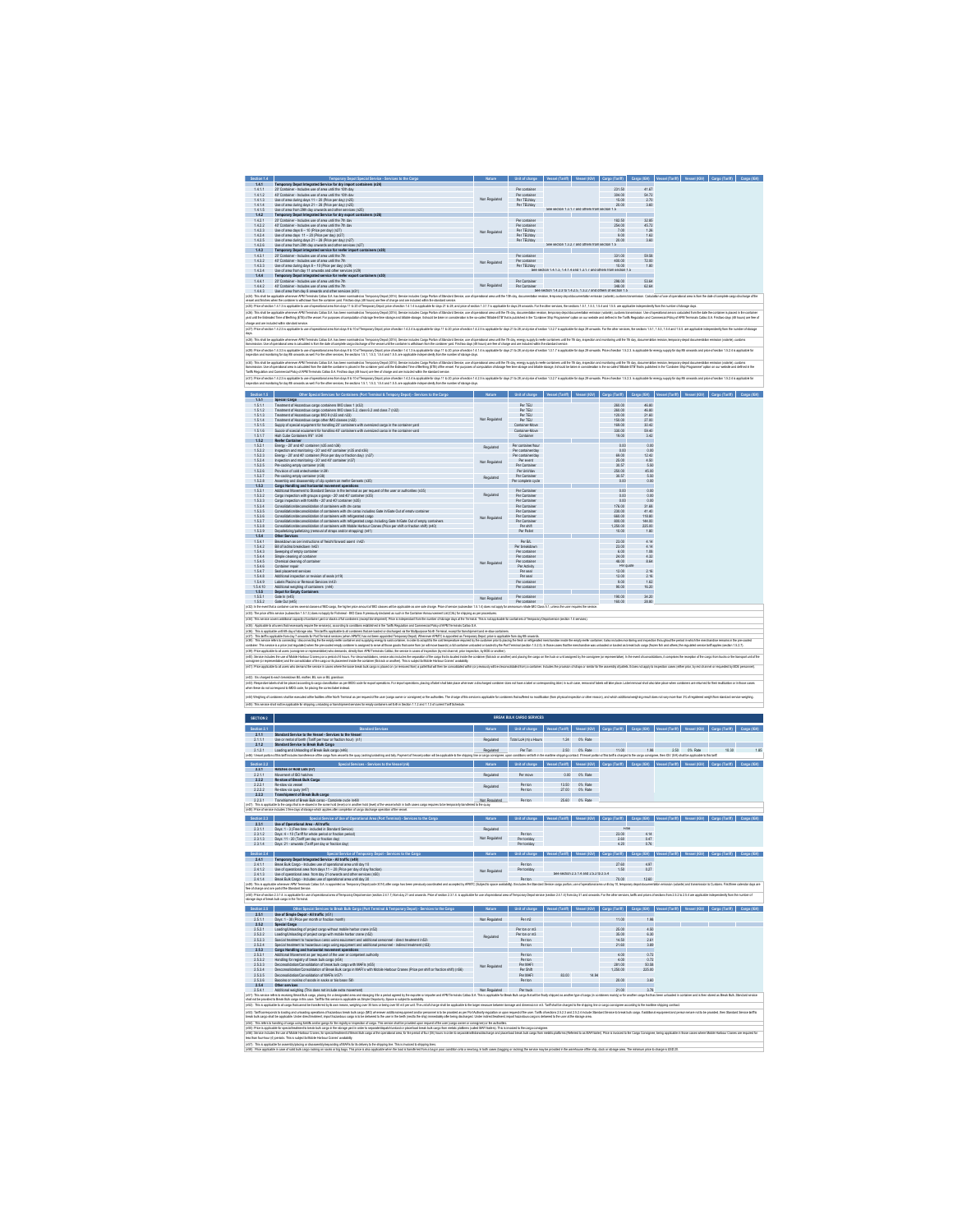| 14.1.1<br>14.1.2<br>14.1.3                                                                                                                                                                                                                                                                                                            | Temporary Depot Special Service - Services to the<br>1.4.1 Temporary Depot Integrated Service for dry import containers (n24)                                                                                                                                                                                                                                                                                                                                                                                                                                                                                                                                                                              |                                                                    | Unit of charge Vessel (Tariff) Vessel (IGV) Cargo (Tariff) Cargo (IGV)                                                           |                                                                      |                     |                                             |                             |                                                                                                                                                                              |
|---------------------------------------------------------------------------------------------------------------------------------------------------------------------------------------------------------------------------------------------------------------------------------------------------------------------------------------|------------------------------------------------------------------------------------------------------------------------------------------------------------------------------------------------------------------------------------------------------------------------------------------------------------------------------------------------------------------------------------------------------------------------------------------------------------------------------------------------------------------------------------------------------------------------------------------------------------------------------------------------------------------------------------------------------------|--------------------------------------------------------------------|----------------------------------------------------------------------------------------------------------------------------------|----------------------------------------------------------------------|---------------------|---------------------------------------------|-----------------------------|------------------------------------------------------------------------------------------------------------------------------------------------------------------------------|
|                                                                                                                                                                                                                                                                                                                                       |                                                                                                                                                                                                                                                                                                                                                                                                                                                                                                                                                                                                                                                                                                            |                                                                    | Por containar                                                                                                                    |                                                                      |                     | 231.50                                      | 41.67                       |                                                                                                                                                                              |
|                                                                                                                                                                                                                                                                                                                                       | semporary Legos: magnatus cervice text and the 10th day<br>20' Container - Includes use of area until the 10th day<br>40' Container - Includes use of area until the 10th day<br>Use of area during days 11 - 20 (Price per day) (n25)                                                                                                                                                                                                                                                                                                                                                                                                                                                                     | Non Regulated                                                      | Per container<br>Per TEUiday                                                                                                     |                                                                      |                     | 304.00<br>15.00                             | 54.72                       |                                                                                                                                                                              |
| 1,4.1.4                                                                                                                                                                                                                                                                                                                               | Use of area during days 21 - 28 (Price per day) (n25)                                                                                                                                                                                                                                                                                                                                                                                                                                                                                                                                                                                                                                                      |                                                                    | Per TEUiday                                                                                                                      | See section 1.3.1.7 and others from section 1.5                      |                     | 20.00                                       | 3.60                        |                                                                                                                                                                              |
| 1.4.1.5<br>1.4.2                                                                                                                                                                                                                                                                                                                      | Use of area from 29th day onwards and other services (n25)<br>Temporary Depot Integrated Service for dry export containers (n26)                                                                                                                                                                                                                                                                                                                                                                                                                                                                                                                                                                           |                                                                    |                                                                                                                                  |                                                                      |                     |                                             |                             |                                                                                                                                                                              |
| $1421$<br>$1422$<br>$1423$                                                                                                                                                                                                                                                                                                            |                                                                                                                                                                                                                                                                                                                                                                                                                                                                                                                                                                                                                                                                                                            |                                                                    | Por containar                                                                                                                    |                                                                      |                     | 182.50                                      | 32.85                       |                                                                                                                                                                              |
| 1.424                                                                                                                                                                                                                                                                                                                                 | 100 Container - Includes use of area until the 7th day<br>40' Container - Includes use of area until the 7th day<br>Use of area days 8 - 10 (Price per day) (n27)<br>Use of area days 11 - 20 (Price per day) (n27)                                                                                                                                                                                                                                                                                                                                                                                                                                                                                        | Non Regulated                                                      | Per container<br>Per TEUiday<br>Per TEUidav                                                                                      |                                                                      |                     | 254.00<br>9.00                              | 45.72<br>1.62               |                                                                                                                                                                              |
| 1425                                                                                                                                                                                                                                                                                                                                  | Use of area during days 21 - 28 (Price per day) (n27)<br>Use of area from 25th day onwards and other services (n27)                                                                                                                                                                                                                                                                                                                                                                                                                                                                                                                                                                                        |                                                                    | Per TEUlday                                                                                                                      | See section 1.3.2.7 and others from section 1.5                      |                     | 20.00                                       | 3.60                        |                                                                                                                                                                              |
| 1426<br>$143$<br>$143.1$                                                                                                                                                                                                                                                                                                              | Temporary Depot integrated service for reefer import of<br>dainers (n2R)                                                                                                                                                                                                                                                                                                                                                                                                                                                                                                                                                                                                                                   |                                                                    |                                                                                                                                  |                                                                      |                     |                                             |                             |                                                                                                                                                                              |
| 1,432                                                                                                                                                                                                                                                                                                                                 | 40' Container - Includes use of area until the 7th                                                                                                                                                                                                                                                                                                                                                                                                                                                                                                                                                                                                                                                         |                                                                    | Per container                                                                                                                    |                                                                      |                     | 331.00<br>400.00                            | 59.58<br>72.00              |                                                                                                                                                                              |
| 1,433<br>1,434                                                                                                                                                                                                                                                                                                                        | Use of area during days 8 - 10 (Price per day) (n29)                                                                                                                                                                                                                                                                                                                                                                                                                                                                                                                                                                                                                                                       | Non Regulated                                                      | Per TEUidav                                                                                                                      | See section 1.4.1.3, 1.4.1.4 and 1.3.1.7 and others from section 1.5 |                     | 10.00                                       | 1.80                        |                                                                                                                                                                              |
| 144                                                                                                                                                                                                                                                                                                                                   | Use of area from day 11 onwards and other services (n25)<br>Temporary Depot integrated service for reefer export containers (n30)                                                                                                                                                                                                                                                                                                                                                                                                                                                                                                                                                                          |                                                                    |                                                                                                                                  |                                                                      |                     |                                             |                             |                                                                                                                                                                              |
| 144                                                                                                                                                                                                                                                                                                                                   | 20" Container - Includes use of area until the 7th<br>40" Container - Includes use of area until the 7th                                                                                                                                                                                                                                                                                                                                                                                                                                                                                                                                                                                                   | Non Regulated                                                      | Per Container<br>Per Container                                                                                                   |                                                                      |                     | 258.00<br>348.00                            | 53.64<br>62.64              |                                                                                                                                                                              |
| 1,4.4.3                                                                                                                                                                                                                                                                                                                               | Use of area from day 8 onwards and other services (n31)                                                                                                                                                                                                                                                                                                                                                                                                                                                                                                                                                                                                                                                    |                                                                    |                                                                                                                                  | See section 1.4.2.3 to 1.4.2.5, 1.3.2.7 and others of section 1.5    |                     |                                             |                             |                                                                                                                                                                              |
|                                                                                                                                                                                                                                                                                                                                       | (oS) This shike applain where APIT in the Main School and The Main Theory Day) (StA) and the School and the School and the School and the School and the School and the School and the School and the School and the School an                                                                                                                                                                                                                                                                                                                                                                                                                                                                             |                                                                    |                                                                                                                                  |                                                                      |                     |                                             |                             |                                                                                                                                                                              |
|                                                                                                                                                                                                                                                                                                                                       | (r25) Pice of section 1.4.1.3 is applicable to use of operational area from days 11 to 20 of Temporary Depct price of section 1.4.1.4 is applicable for days 21 to 28; and price of section 1.3.1.7 is as<br>(x3)) This shallbe applicable whenever APM Terminal Caller S.A. has been nominated as Temporary Depot (2014). Service includio Care Devided Service, use of operational anse and the 7h day, documentation vession, proposed d                                                                                                                                                                                                                                                                |                                                                    | cable for days 29 one<br>ards. For the oth                                                                                       |                                                                      |                     | ons 15.1.153.154 and 155 are applicable inc |                             |                                                                                                                                                                              |
|                                                                                                                                                                                                                                                                                                                                       | yed until the Extension Time of Berthing (ETB) of the wasakil For purposes of computation of schouge less firm abonge and biliable atterge, it should be taken in considerables in the so-called 'Blable's ETB' festivation is<br>charge and are included within standard senios.                                                                                                                                                                                                                                                                                                                                                                                                                          |                                                                    |                                                                                                                                  |                                                                      |                     |                                             |                             |                                                                                                                                                                              |
|                                                                                                                                                                                                                                                                                                                                       | (s27) Pice of sedion 14.23 is applicable to use of operational area form days 3 to 10 of Temporary Depot; price of section 1.4.2.4 is applicable for days 11 to 20; price of section 1.4.2.5 is applicable for days 11 to 28;                                                                                                                                                                                                                                                                                                                                                                                                                                                                              |                                                                    |                                                                                                                                  |                                                                      |                     |                                             |                             |                                                                                                                                                                              |
|                                                                                                                                                                                                                                                                                                                                       | (x28): This shall be applicable whenever APM Terminals Calleo S.A. has been nominated as Tem<br>ary Depot (3014). Service includes Can                                                                                                                                                                                                                                                                                                                                                                                                                                                                                                                                                                     |                                                                    |                                                                                                                                  | es unti the 7th day, in                                              |                     |                                             |                             |                                                                                                                                                                              |
|                                                                                                                                                                                                                                                                                                                                       | ate of complete cargo discharge of the<br>(r29): Price of section 1.4.3.3 is applicable to use of operational area from days 8 to 10 of Tem<br>rary Depot price of section 1.4.1.3 is applicable for days 11 to 20; price of section 1.4.1.4 is applicable for days 21 and price of section 1.3.1.7 is applicable for days 29 onwards. Price of section 1.5.2.3. is applicabl                                                                                                                                                                                                                                                                                                                              |                                                                    |                                                                                                                                  |                                                                      |                     |                                             |                             | ants and mina refearation 1524 is anoticable for                                                                                                                             |
|                                                                                                                                                                                                                                                                                                                                       | ing for day 8th crowards as well. For the other services, the sections 1.5.1.1.5.3.1.5.4 and 1.5.5, are applic<br>ber of storage days                                                                                                                                                                                                                                                                                                                                                                                                                                                                                                                                                                      |                                                                    |                                                                                                                                  |                                                                      |                     |                                             |                             |                                                                                                                                                                              |
|                                                                                                                                                                                                                                                                                                                                       | (r30): This shall be applicable whenever APM Terminals Callap S.A. has been nominated as Terrooney Depot (3014). Service is                                                                                                                                                                                                                                                                                                                                                                                                                                                                                                                                                                                |                                                                    |                                                                                                                                  |                                                                      |                     |                                             |                             |                                                                                                                                                                              |
|                                                                                                                                                                                                                                                                                                                                       | d fiorn the date the container is placed in the container yerd u<br>Terminals Callao S.A. First two days (48 hours) are fee of ch<br>. .<br>. is calculated from<br>Hicvof APM Term<br>wronthing (ETE)<br>Fed within the stand                                                                                                                                                                                                                                                                                                                                                                                                                                                                             |                                                                    |                                                                                                                                  |                                                                      |                     |                                             |                             |                                                                                                                                                                              |
|                                                                                                                                                                                                                                                                                                                                       | (n31): Price of section 1.4.2.3 is applicable to use of operational area form days 8 to 10 of Ter.<br>Inspection and monitoring for day 8th onwards as well. For the other services, the sections 1.<br>.<br>I Temporany Depot, price of section 1.4.2.4 is applicable for di<br>is 1.5.1.1.5.3.1.5.4 and 1.5.5, are applicable independently f                                                                                                                                                                                                                                                                                                                                                            |                                                                    |                                                                                                                                  |                                                                      |                     | Printed services 15.2.3. is a               |                             |                                                                                                                                                                              |
| Section 15                                                                                                                                                                                                                                                                                                                            | Other Special Services for Containers (Port Terminal & Tempory Depot) - Services to the Care                                                                                                                                                                                                                                                                                                                                                                                                                                                                                                                                                                                                               |                                                                    | Nature Unit of charge Vessel (Tariff) Vessel (IGV) Cargo (Tariff) Cargo (IGV) V                                                  |                                                                      |                     |                                             |                             |                                                                                                                                                                              |
| 15.1                                                                                                                                                                                                                                                                                                                                  | serial Carros                                                                                                                                                                                                                                                                                                                                                                                                                                                                                                                                                                                                                                                                                              |                                                                    |                                                                                                                                  |                                                                      |                     |                                             |                             |                                                                                                                                                                              |
| 1.5.1.1                                                                                                                                                                                                                                                                                                                               | Treatment of Hazardous cargo containers BIO class 1 (n32)                                                                                                                                                                                                                                                                                                                                                                                                                                                                                                                                                                                                                                                  |                                                                    | Par TEU                                                                                                                          |                                                                      |                     | 260.00                                      | 46.80                       |                                                                                                                                                                              |
| 1.5.1.2<br>1.5.1.3                                                                                                                                                                                                                                                                                                                    | Treatment of Hazardous carpo containers MO class 5.2, class 6.2 and class 7 (n32)<br>Treatment of Hazardous carpo IMO 9 (n32 and n33)                                                                                                                                                                                                                                                                                                                                                                                                                                                                                                                                                                      |                                                                    | Par TEU<br><b>Par TEU</b>                                                                                                        |                                                                      |                     | 260.00<br>120.00                            | 46.80<br>21.60              |                                                                                                                                                                              |
| 1.5.1.4<br>1.5.1.5                                                                                                                                                                                                                                                                                                                    | reastment of Hazarodous catego offer allow case out.<br>Theatment of Hazardous catego other IMD disease (n32)<br>Sucelve of special excidentent for handline 20' containers with oversized career in the container vard<br>Sucelve of s                                                                                                                                                                                                                                                                                                                                                                                                                                                                    | Non Regulated                                                      | <b>ParTEU</b><br>Container Move                                                                                                  |                                                                      |                     | 150.00<br>169.00                            | 27.00<br>30.42              |                                                                                                                                                                              |
| 1.5.1.5<br>1.5.1.7                                                                                                                                                                                                                                                                                                                    |                                                                                                                                                                                                                                                                                                                                                                                                                                                                                                                                                                                                                                                                                                            |                                                                    | Container-Move<br>Container                                                                                                      |                                                                      |                     | 330.00                                      | 59.40                       |                                                                                                                                                                              |
| 1.5.2                                                                                                                                                                                                                                                                                                                                 | Reefer Container                                                                                                                                                                                                                                                                                                                                                                                                                                                                                                                                                                                                                                                                                           |                                                                    |                                                                                                                                  |                                                                      |                     |                                             |                             |                                                                                                                                                                              |
| 1.52.1                                                                                                                                                                                                                                                                                                                                | Energy - 20' and 40' container (n35 and n36)                                                                                                                                                                                                                                                                                                                                                                                                                                                                                                                                                                                                                                                               | Regulated                                                          | Per containent cur                                                                                                               |                                                                      |                     | 0.00                                        | 0.00                        |                                                                                                                                                                              |
| 1.522<br>1523                                                                                                                                                                                                                                                                                                                         | Inspection and monitoring - 20' and 40' container (n35 and n36)                                                                                                                                                                                                                                                                                                                                                                                                                                                                                                                                                                                                                                            |                                                                    | Per container/day<br>Per container/day                                                                                           |                                                                      |                     | 0.00<br>69.00                               | 0.00<br>12.42               |                                                                                                                                                                              |
| 1.524                                                                                                                                                                                                                                                                                                                                 | Energy - 20' and 40' containst (Price out day or flaction day) (n37)<br>Inspection and monitoring - 20' and 40' container (n37)<br>Pre-cooling empty container (n38)                                                                                                                                                                                                                                                                                                                                                                                                                                                                                                                                       | Non Regulated                                                      | Per event                                                                                                                        |                                                                      |                     | 25.00                                       | 4.50                        |                                                                                                                                                                              |
| 1.525<br>1.52.6                                                                                                                                                                                                                                                                                                                       | Provision of cold antechamber (n39)                                                                                                                                                                                                                                                                                                                                                                                                                                                                                                                                                                                                                                                                        |                                                                    | Per Containe<br>Per Unitiday                                                                                                     |                                                                      |                     | 30.57<br>250.00                             | 45.00                       |                                                                                                                                                                              |
| 1.527                                                                                                                                                                                                                                                                                                                                 | Pre-cooling empty container (n38)<br>Assembly and disassembly of clin system on reafer Gensets (n35)                                                                                                                                                                                                                                                                                                                                                                                                                                                                                                                                                                                                       | Regulated                                                          | Per Container                                                                                                                    |                                                                      |                     | 30.57                                       | 5.50                        |                                                                                                                                                                              |
| 1.528<br>1.5.3                                                                                                                                                                                                                                                                                                                        | Cargo Handling and horizontal movement coerations                                                                                                                                                                                                                                                                                                                                                                                                                                                                                                                                                                                                                                                          |                                                                    | Per complete cycle                                                                                                               |                                                                      |                     | 0.00                                        | 0.00                        |                                                                                                                                                                              |
| $1.53.1$<br>$1.532$                                                                                                                                                                                                                                                                                                                   | Additional Movement to Standard Service in the terminal as per request of the user or authorities (n35)<br>cs o gancs - 20' and 40' contair                                                                                                                                                                                                                                                                                                                                                                                                                                                                                                                                                                | Regulated                                                          | Per Container                                                                                                                    |                                                                      |                     | 0.00<br>0.00                                | 0.00                        |                                                                                                                                                                              |
| 1.533                                                                                                                                                                                                                                                                                                                                 | Cargo inspection with groups o gangs - 20' and 40' contain-<br>Cargo inspection with forklifts - 20' and 40' container (n35)                                                                                                                                                                                                                                                                                                                                                                                                                                                                                                                                                                               |                                                                    | Per Containe<br>Per Container                                                                                                    |                                                                      |                     | 0.00                                        | 0.00<br>0.00                |                                                                                                                                                                              |
| 1.5.3.4<br>1.535                                                                                                                                                                                                                                                                                                                      | Consolidation/deconsolidation of containers with dry cargo<br>Consolidation/deconsolidation of containers with dry cargo including Gate In/Gate Out of empty container                                                                                                                                                                                                                                                                                                                                                                                                                                                                                                                                     |                                                                    | Per Container<br>Per Container                                                                                                   |                                                                      |                     | 176.00<br>230.00                            | 31.68<br>41.40              |                                                                                                                                                                              |
| 1,53.6                                                                                                                                                                                                                                                                                                                                | Consolidation/deconsolidation of containers with refrigerated cerro.                                                                                                                                                                                                                                                                                                                                                                                                                                                                                                                                                                                                                                       | Non Regulated                                                      | Per Container                                                                                                                    |                                                                      |                     | 660.00                                      | 118.80                      |                                                                                                                                                                              |
| 1.537<br>1.538<br>1.539                                                                                                                                                                                                                                                                                                               | consolidation/decreases/estimal of containers with refinement cease<br>Consolidation/deconsolidation of containers with Mitlosofiado carso including Gate In/Gate Out of emoty containers<br>Depalletizing/palletizing (removal of s                                                                                                                                                                                                                                                                                                                                                                                                                                                                       |                                                                    | Per Container                                                                                                                    |                                                                      |                     | 800.00                                      | 144.00                      |                                                                                                                                                                              |
|                                                                                                                                                                                                                                                                                                                                       | Other Services                                                                                                                                                                                                                                                                                                                                                                                                                                                                                                                                                                                                                                                                                             |                                                                    | Per shift<br>Per Pallet                                                                                                          |                                                                      |                     | 1250.00                                     | 225.00                      |                                                                                                                                                                              |
| 1.5.4<br>1.5.4.1                                                                                                                                                                                                                                                                                                                      |                                                                                                                                                                                                                                                                                                                                                                                                                                                                                                                                                                                                                                                                                                            |                                                                    | Per Bit.                                                                                                                         |                                                                      |                     | 23.00                                       | 4, 14                       |                                                                                                                                                                              |
| 1.5.4.2<br>1543                                                                                                                                                                                                                                                                                                                       | Breakdown as per instructions of freight forward agent (n42)<br>Sweeping of empty cretains                                                                                                                                                                                                                                                                                                                                                                                                                                                                                                                                                                                                                 |                                                                    | Per breakdown<br>Por containar                                                                                                   |                                                                      |                     | 23.00<br>6.00                               | 4, 14<br>1.08               |                                                                                                                                                                              |
| 1.5.4.4<br>1.5.4.5                                                                                                                                                                                                                                                                                                                    | Sinustries of conta<br>Simple cleaning of conta<br>Chemical cleaning of co                                                                                                                                                                                                                                                                                                                                                                                                                                                                                                                                                                                                                                 |                                                                    | Per containe                                                                                                                     |                                                                      |                     | 24.00                                       | $4.32$<br>8.64              |                                                                                                                                                                              |
| 1.5.4.6                                                                                                                                                                                                                                                                                                                               | Container repair                                                                                                                                                                                                                                                                                                                                                                                                                                                                                                                                                                                                                                                                                           | Non Regulated                                                      | Per Activity                                                                                                                     |                                                                      |                     | Par q                                       |                             |                                                                                                                                                                              |
| 1.547                                                                                                                                                                                                                                                                                                                                 | Seal placement services                                                                                                                                                                                                                                                                                                                                                                                                                                                                                                                                                                                                                                                                                    |                                                                    | Per seal<br>Per seal                                                                                                             |                                                                      |                     | 12.00                                       | 2.16                        |                                                                                                                                                                              |
| 1,5.4.8<br>1549                                                                                                                                                                                                                                                                                                                       | Additional inspection or revision of seals (n15).<br>Labels Placing or Removal Services (n43)                                                                                                                                                                                                                                                                                                                                                                                                                                                                                                                                                                                                              |                                                                    | Por contain                                                                                                                      |                                                                      |                     | 12.00<br>9.00                               | 2.16<br>162                 |                                                                                                                                                                              |
|                                                                                                                                                                                                                                                                                                                                       | g of containers (n44)                                                                                                                                                                                                                                                                                                                                                                                                                                                                                                                                                                                                                                                                                      |                                                                    |                                                                                                                                  |                                                                      |                     |                                             |                             |                                                                                                                                                                              |
|                                                                                                                                                                                                                                                                                                                                       |                                                                                                                                                                                                                                                                                                                                                                                                                                                                                                                                                                                                                                                                                                            |                                                                    | Per contains                                                                                                                     |                                                                      |                     | 90.00                                       | 16.20                       |                                                                                                                                                                              |
|                                                                                                                                                                                                                                                                                                                                       | Additional weighing of contain                                                                                                                                                                                                                                                                                                                                                                                                                                                                                                                                                                                                                                                                             |                                                                    |                                                                                                                                  |                                                                      |                     |                                             |                             |                                                                                                                                                                              |
|                                                                                                                                                                                                                                                                                                                                       | Gate in (n45)<br>Gate Out (n45)<br>(x32) In the event that a container carries several classes of MO cargo, the higher price amount of MO classes will be applicable as one sole charge. Price of service (subsection 1.5.1.4) does not poply br ammonium mitrate<br>(x33): The price of this service (subsection 1.5.1.3) does not apply by Fahmeal - BIO Class 9 previously declared as such in the Container Ann<br>ent List (CAL) for shipping as per pr<br>nice covers additional capacity of container vard or stacks of full containers (except tra<br>and Prima is in                                                                                                                              |                                                                    | Per container<br>Per container<br>.<br>al. This is not applicable for containers of Temporary Depotservice (section 1.4 service: |                                                                      |                     | 190.00<br>160.00                            | 34.20<br>28.80              |                                                                                                                                                                              |
|                                                                                                                                                                                                                                                                                                                                       | (x35). Applable to all uses that recessivity regime to service)), according to confident and interest Regulation and Commercial Policy of APM Terminals Called S.A.<br>(x36). This is applicable until the day of straige also. T<br>. (n37). The term appliable form day? consists to Port Removements of the movement material concentration of the Multipuppes Norfi Term<br>(n33). The series relies to connecting / decorrecting free employees phenomenology and                                                                                                                                                                                                                                     | nted as Temporary Depot, price is applicable from day 8th onwards. | wr prior to placing the feah or r<br>ded or loaded by the Port Terminal (section 1.5.2.5). In those cases that the               |                                                                      |                     |                                             |                             |                                                                                                                                                                              |
|                                                                                                                                                                                                                                                                                                                                       | ner. This service is a price (not regulated) when the pre-co-<br>empty container is assign-<br>(r39) Price applicable to all users (consignee or representative) who der<br>ds, drecty from<br><b>APM Ten</b><br>of inspection (by red channel, prior inspection, by BOE or another).<br>nals Calliac                                                                                                                                                                                                                                                                                                                                                                                                      |                                                                    |                                                                                                                                  |                                                                      |                     |                                             |                             |                                                                                                                                                                              |
| 15410<br>1.5.5<br>1.5.5.1<br>1.5.5.2<br>(r34) This se                                                                                                                                                                                                                                                                                 | (e42) Service includes the use of Mobile Herbour Cranes por a period of 4 hours. For deconsolidations, service also includes the seperation of the cargo that is located inside the conte<br>ind the consolida                                                                                                                                                                                                                                                                                                                                                                                                                                                                                             |                                                                    |                                                                                                                                  |                                                                      |                     |                                             |                             |                                                                                                                                                                              |
|                                                                                                                                                                                                                                                                                                                                       | (n41) Price applicable to all users who demand the service in cases where the bose break bulk cargo is placed on (or removed from) a pallet hat will han be consolidated within (or pre-                                                                                                                                                                                                                                                                                                                                                                                                                                                                                                                   |                                                                    |                                                                                                                                  |                                                                      |                     |                                             |                             |                                                                                                                                                                              |
|                                                                                                                                                                                                                                                                                                                                       |                                                                                                                                                                                                                                                                                                                                                                                                                                                                                                                                                                                                                                                                                                            |                                                                    |                                                                                                                                  |                                                                      |                     |                                             |                             |                                                                                                                                                                              |
|                                                                                                                                                                                                                                                                                                                                       | irged to each breakdown B1, mother, B1, son or B1, g1<br>(n43); Respective labels shall be placed according to cargo classification as per MDG code for export operations. For import operations, placing of label shall take place when                                                                                                                                                                                                                                                                                                                                                                                                                                                                   |                                                                    |                                                                                                                                  |                                                                      |                     |                                             |                             |                                                                                                                                                                              |
|                                                                                                                                                                                                                                                                                                                                       | when these do not correspond to MDG code, for placing the correct label instead.                                                                                                                                                                                                                                                                                                                                                                                                                                                                                                                                                                                                                           |                                                                    |                                                                                                                                  |                                                                      |                     |                                             |                             |                                                                                                                                                                              |
|                                                                                                                                                                                                                                                                                                                                       |                                                                                                                                                                                                                                                                                                                                                                                                                                                                                                                                                                                                                                                                                                            |                                                                    |                                                                                                                                  |                                                                      |                     |                                             |                             |                                                                                                                                                                              |
|                                                                                                                                                                                                                                                                                                                                       | (n45): This service shall not be applicable br shipping, unloading or banahipment services br emply conteners set forth in Section 1.1.2 and 1.1.3 of current Tarif Schedule                                                                                                                                                                                                                                                                                                                                                                                                                                                                                                                               |                                                                    |                                                                                                                                  |                                                                      |                     |                                             |                             |                                                                                                                                                                              |
|                                                                                                                                                                                                                                                                                                                                       |                                                                                                                                                                                                                                                                                                                                                                                                                                                                                                                                                                                                                                                                                                            |                                                                    | BREAK BULK CARGO SERVICES                                                                                                        |                                                                      |                     |                                             |                             |                                                                                                                                                                              |
|                                                                                                                                                                                                                                                                                                                                       |                                                                                                                                                                                                                                                                                                                                                                                                                                                                                                                                                                                                                                                                                                            |                                                                    |                                                                                                                                  |                                                                      |                     |                                             |                             |                                                                                                                                                                              |
|                                                                                                                                                                                                                                                                                                                                       | <b>Standard Services</b><br>2.1.1 Standard Service to the Vessel - Services to the Vessel                                                                                                                                                                                                                                                                                                                                                                                                                                                                                                                                                                                                                  |                                                                    |                                                                                                                                  |                                                                      |                     |                                             |                             | Unit of charge Vessel (Tariff) Vessel (IOV) Cargo (Tariff) Cargo (IOV) Vessel (Tariff) Vessel (IOV) Cargo (Tariff) Ca                                                        |
|                                                                                                                                                                                                                                                                                                                                       | Use or rental of berth (Tariff per hour or fraction hour) (n1)                                                                                                                                                                                                                                                                                                                                                                                                                                                                                                                                                                                                                                             | Repulated                                                          | Total LoA (m) x Hours                                                                                                            | 1.24                                                                 | 0% Rate             |                                             |                             |                                                                                                                                                                              |
|                                                                                                                                                                                                                                                                                                                                       | Standard Service to Break Bulk Cargo                                                                                                                                                                                                                                                                                                                                                                                                                                                                                                                                                                                                                                                                       | Repulated                                                          | Par Ton                                                                                                                          | 250                                                                  | 0% Rate             | 11.00                                       | 1.98                        | 2.50<br>0% Rate                                                                                                                                                              |
|                                                                                                                                                                                                                                                                                                                                       | Statistics derivice to Break Busk Cardo<br>Loading and Unipading of Break Busk cargo (n46)<br>offis art includes tensions of the cargo from vessel to the quay, leshingle                                                                                                                                                                                                                                                                                                                                                                                                                                                                                                                                  | cargo i                                                            |                                                                                                                                  | shipping contract. EVe                                               |                     |                                             |                             | el portion of this terifis charged to the cargo consignee, then ICV (IVA) shall be app                                                                                       |
| -22 II                                                                                                                                                                                                                                                                                                                                |                                                                                                                                                                                                                                                                                                                                                                                                                                                                                                                                                                                                                                                                                                            |                                                                    | Unit of charge Vess                                                                                                              |                                                                      |                     |                                             |                             | el (Tariff)   Vessel (IGV)   Cargo (Tariff)   Cargo (IGV)   Vessel (Tariff)   Vessel (IGV)   Cargo (Tariff)   Ca                                                             |
|                                                                                                                                                                                                                                                                                                                                       | 2.2.1 Hatches or Hold Lids (n7)<br>Movement of ISO hatches                                                                                                                                                                                                                                                                                                                                                                                                                                                                                                                                                                                                                                                 | Repulated                                                          | Per move                                                                                                                         | 0.00                                                                 | 0% Rate             |                                             |                             |                                                                                                                                                                              |
|                                                                                                                                                                                                                                                                                                                                       | Re-stow of Break Bulk Cargo                                                                                                                                                                                                                                                                                                                                                                                                                                                                                                                                                                                                                                                                                |                                                                    |                                                                                                                                  |                                                                      |                     |                                             |                             |                                                                                                                                                                              |
|                                                                                                                                                                                                                                                                                                                                       |                                                                                                                                                                                                                                                                                                                                                                                                                                                                                                                                                                                                                                                                                                            | Regulated                                                          | <b>Por ton</b>                                                                                                                   | 13.50<br>27.00                                                       | ON: Rate<br>0% Rate |                                             |                             |                                                                                                                                                                              |
|                                                                                                                                                                                                                                                                                                                                       |                                                                                                                                                                                                                                                                                                                                                                                                                                                                                                                                                                                                                                                                                                            |                                                                    |                                                                                                                                  |                                                                      |                     |                                             |                             |                                                                                                                                                                              |
|                                                                                                                                                                                                                                                                                                                                       | Re-stow via vessel<br>Re-stow via vessel<br>Re-stow via ouze (n47)<br>Transhipment of Break Bulk cargo<br>Transhipment of Break Bulk cargo<br>(n47): This is applicable to the cargo that is re-stowed in the same hold (level) or in another hold (level) of the vessel which in both cases cargo requires to be temporarly bandered to the quay                                                                                                                                                                                                                                                                                                                                                          |                                                                    | Non Regulated Per ton                                                                                                            |                                                                      | 25.60 0% Rate       |                                             |                             |                                                                                                                                                                              |
|                                                                                                                                                                                                                                                                                                                                       | vice includes 3 fee days of storage which apples after completion of cargo discharge operation of the ve                                                                                                                                                                                                                                                                                                                                                                                                                                                                                                                                                                                                   |                                                                    |                                                                                                                                  |                                                                      |                     |                                             |                             |                                                                                                                                                                              |
|                                                                                                                                                                                                                                                                                                                                       | Special Service of Use of Operational Area (Port Terminal) - Services to the Ca<br>Ilse of Operational Area - All traffic                                                                                                                                                                                                                                                                                                                                                                                                                                                                                                                                                                                  | Nature 1                                                           | Initiatebaron Vessel (Tariff) Vessel (ISV) Carro (Tariff) Carro (ISV) Vessel (Tariff)                                            |                                                                      |                     |                                             |                             | 03W Caroo (Tariff) Caroo (IGV                                                                                                                                                |
|                                                                                                                                                                                                                                                                                                                                       |                                                                                                                                                                                                                                                                                                                                                                                                                                                                                                                                                                                                                                                                                                            | Rendated                                                           |                                                                                                                                  |                                                                      |                     | Free                                        |                             |                                                                                                                                                                              |
|                                                                                                                                                                                                                                                                                                                                       |                                                                                                                                                                                                                                                                                                                                                                                                                                                                                                                                                                                                                                                                                                            | Non Regulated                                                      | Per tor                                                                                                                          |                                                                      |                     | 23.00                                       |                             |                                                                                                                                                                              |
|                                                                                                                                                                                                                                                                                                                                       | Davs: 1 - 3 (Free time - Included in Standard Service)<br>Davs: 4 - 10 (Tariff for whole period or fraction period)<br>Days: 11 - 20 (Tariff per day or fraction day)<br>Days: 21 - onwards (Tariff per day or fraction day)                                                                                                                                                                                                                                                                                                                                                                                                                                                                               |                                                                    | Per toniday<br>Per toniday                                                                                                       |                                                                      |                     | 2.60<br>4.20                                | $\frac{4.14}{0.47}$<br>0.76 |                                                                                                                                                                              |
|                                                                                                                                                                                                                                                                                                                                       | Special Service of Temporary Depot - Services to the Cargo                                                                                                                                                                                                                                                                                                                                                                                                                                                                                                                                                                                                                                                 |                                                                    |                                                                                                                                  |                                                                      |                     |                                             |                             | Nature   Unit of charge   Vessel (Tariff)   Vessel (IGV)   Cargo (Tariff)   Cargo (IGV)   Vessel (Tariff)   Vessel (Tariff)   Vessel (Tariff)   Cargo (Tariff)   Cargo (IGV) |
|                                                                                                                                                                                                                                                                                                                                       | Terrentary Denni Internated Service - All traffic (n4)                                                                                                                                                                                                                                                                                                                                                                                                                                                                                                                                                                                                                                                     |                                                                    |                                                                                                                                  |                                                                      |                     |                                             |                             |                                                                                                                                                                              |
|                                                                                                                                                                                                                                                                                                                                       | Break Bulk Caroo - Includes use of operational area until day 10<br>Use of coarational area from days 11 - 20 (Price per day of day)                                                                                                                                                                                                                                                                                                                                                                                                                                                                                                                                                                       | Non Regulated                                                      | Per toniday                                                                                                                      |                                                                      |                     | 27.60                                       | $\frac{4.97}{0.27}$         |                                                                                                                                                                              |
|                                                                                                                                                                                                                                                                                                                                       | Use of coerational area from day 21 onwards and other services (n50)<br>Break Bulk Caroo - Includes use of operational area until day 30                                                                                                                                                                                                                                                                                                                                                                                                                                                                                                                                                                   |                                                                    | Perton                                                                                                                           | See section 2.3.1.4 and 2.5.2 to 2.5.4                               |                     | 70.00                                       | 12.60                       |                                                                                                                                                                              |
|                                                                                                                                                                                                                                                                                                                                       | er APM Terminals Caller S.A. is accorded as Temporary Depot tode 3014) after paren has been previously coordinated and accepted by APMTC (Subjects source available). It includes the Standard Service cargo portion, use of c                                                                                                                                                                                                                                                                                                                                                                                                                                                                             |                                                                    |                                                                                                                                  |                                                                      |                     |                                             |                             | and the Contract Local American<br>the to Contain Continue advertiser and                                                                                                    |
|                                                                                                                                                                                                                                                                                                                                       | (n43): This is applicable whenever APM Terminals<br>Fee of charge and are part of the Standard Service<br>(m3)) Pice of sedan 23.14, a scolable for use of constitute and Temporar Depotences (sedan 241.1) for date 21 and constitution (Fig. 014. a scolable for use of packing framed ans of Temporary Depote that constant any and T                                                                                                                                                                                                                                                                                                                                                                   |                                                                    |                                                                                                                                  |                                                                      |                     |                                             |                             |                                                                                                                                                                              |
|                                                                                                                                                                                                                                                                                                                                       | storage days of break bulk cargo in the Terminal.                                                                                                                                                                                                                                                                                                                                                                                                                                                                                                                                                                                                                                                          |                                                                    |                                                                                                                                  |                                                                      |                     |                                             |                             |                                                                                                                                                                              |
|                                                                                                                                                                                                                                                                                                                                       | Section 2.5 Cher Special Services to Break Bulk Cargo (Port Terminal & Tempocary Depot) - Services to the Cargo Nature   United charge   Vessel (Tarm   Vessel (1001)   Cargo (1001)   Vessel (Tarm   Vessel (Tarm   Cargo (10                                                                                                                                                                                                                                                                                                                                                                                                                                                                             |                                                                    |                                                                                                                                  |                                                                      |                     |                                             |                             |                                                                                                                                                                              |
|                                                                                                                                                                                                                                                                                                                                       | 2.5.1 Use of Simple Depot - All traffic (n51)<br>Days: 1 . 30 (Price ner month or fraction month)                                                                                                                                                                                                                                                                                                                                                                                                                                                                                                                                                                                                          | Non Renulated                                                      | Per m2                                                                                                                           | a ka                                                                 |                     | 11.00                                       | 1.98                        |                                                                                                                                                                              |
|                                                                                                                                                                                                                                                                                                                                       | Special Cargo                                                                                                                                                                                                                                                                                                                                                                                                                                                                                                                                                                                                                                                                                              |                                                                    | m                                                                                                                                | <b>Contract Contract</b>                                             | and the control     |                                             |                             | the control of the control of the                                                                                                                                            |
|                                                                                                                                                                                                                                                                                                                                       | Loading/Unloading of project cargo without mobile harbor crane (n52)<br>ading of project cargo with mobile harbor crane (n52)                                                                                                                                                                                                                                                                                                                                                                                                                                                                                                                                                                              |                                                                    | Per ton or m3<br>Per ton or m3                                                                                                   |                                                                      |                     | 25.00                                       | 450                         |                                                                                                                                                                              |
| SECTION 2<br>Section 21<br>2.1.1.1<br>212<br>2.12.1<br>(n46): Vessel pr<br>Secti<br>2.2.1.1<br>22.2<br>2221<br>$\frac{222}{223}$<br>2.2.3.1<br>(n48) Price of ser<br>Section 2.3<br>23.1<br>2.3.1.1<br>2.3.1.3<br>2.3.1.4<br>Section 2.4<br>241<br>24.1.1<br>24.12<br>2.4.1.3<br>2.4.1.4<br>2.5.1.1<br>25.2<br>2521<br>2.521<br>2.523 | Special treatment to hazardous cargo using equipment and additional personnel - direct treatment (n53)                                                                                                                                                                                                                                                                                                                                                                                                                                                                                                                                                                                                     | Regulated                                                          | Person                                                                                                                           |                                                                      |                     | 14.50                                       | 2.61                        |                                                                                                                                                                              |
|                                                                                                                                                                                                                                                                                                                                       | Special treatment to hazardous cargo using equipment and additional personnel - indirect treatment (n53)<br>Cargo Handling and horizontal movement coerations                                                                                                                                                                                                                                                                                                                                                                                                                                                                                                                                              |                                                                    | Perton                                                                                                                           |                                                                      |                     | 21.60                                       | 3.89                        |                                                                                                                                                                              |
|                                                                                                                                                                                                                                                                                                                                       | Additional Movement as per request of the user or corroctent authority                                                                                                                                                                                                                                                                                                                                                                                                                                                                                                                                                                                                                                     |                                                                    | Por ton                                                                                                                          |                                                                      |                     | 4.00<br>400                                 | 0.72<br>0.77                |                                                                                                                                                                              |
|                                                                                                                                                                                                                                                                                                                                       |                                                                                                                                                                                                                                                                                                                                                                                                                                                                                                                                                                                                                                                                                                            |                                                                    | Par MAFI                                                                                                                         |                                                                      |                     | 281.00                                      |                             |                                                                                                                                                                              |
| 2.524<br>2.5.3<br>2531<br>2532<br>2.533<br>2.534<br>2.535                                                                                                                                                                                                                                                                             | . Robbinal Movemer & and Naosas of the Sale of correster authors<br>Decomolitation Consideration of break built carso with MAPs in 651<br>Descensibilitätivn Consideration of Break Built caree in MAFIs with Mobile Herbour Cranes<br>Deconsolidation/Consolidation of MAF is (n57)                                                                                                                                                                                                                                                                                                                                                                                                                       | Non Regulated                                                      | Par Shift                                                                                                                        | Per MAFI 83.00 14.94                                                 |                     | 1,250.00                                    | 225.00                      |                                                                                                                                                                              |
| 2.536                                                                                                                                                                                                                                                                                                                                 | Bagging or racking of goods in sacks or big bags (58)                                                                                                                                                                                                                                                                                                                                                                                                                                                                                                                                                                                                                                                      |                                                                    | Perton                                                                                                                           |                                                                      |                     | 20.00                                       | 3.60                        |                                                                                                                                                                              |
| 2.5.4<br>2541                                                                                                                                                                                                                                                                                                                         | Other services<br><b>Contract Contract</b>                                                                                                                                                                                                                                                                                                                                                                                                                                                                                                                                                                                                                                                                 | Non-Regulated                                                      | a kara<br>Perminik                                                                                                               |                                                                      |                     | 21.00                                       | 3.78                        |                                                                                                                                                                              |
|                                                                                                                                                                                                                                                                                                                                       |                                                                                                                                                                                                                                                                                                                                                                                                                                                                                                                                                                                                                                                                                                            |                                                                    |                                                                                                                                  |                                                                      |                     | th) or for                                  |                             |                                                                                                                                                                              |
|                                                                                                                                                                                                                                                                                                                                       | Additional weighting (This does not include extra movement)<br>when to require the stuke angle, placing it is a designated area and studies through the studies of the studies<br>of to Break Bulk caroo in this case. Twitter the c<br>nown two conventions are allowed and analyze the applied by the experie or impoter and APM Terminis Caller SA. This is applicable to these Bulk carps tutulities frully shipped as another type of carp (in continues m<br>argum<br>ski otowode besid op na sas into have a spook a Sne by Opport Snew March Snew March Snew Assembly the spook of the Snew Assembly on the Snew Assembly of The Snew Assembly or the Snew Assembly or the Snew Assembly or the Sn |                                                                    |                                                                                                                                  |                                                                      |                     |                                             |                             |                                                                                                                                                                              |
|                                                                                                                                                                                                                                                                                                                                       | (n3)) Tarffcoresponds to basing your unbated considerable abut change (MC) whenever additional exponentantle passonal is to be provided as per Por Authority equalities or provided the sail and and consequated for each Tart                                                                                                                                                                                                                                                                                                                                                                                                                                                                             |                                                                    |                                                                                                                                  |                                                                      |                     |                                             |                             |                                                                                                                                                                              |
|                                                                                                                                                                                                                                                                                                                                       | break bulk cargo shall be applicable. Under direct treatment, import hazardous cargo is to be delivered to the user in the berth (martits free after shall) immediately after being discharged. Under indirect treatment, impo<br>(rSF). This was to harding of cargo using fields and/or gange for the apparent of page. This sends and be provided upon reported the user page on en or company or the authorities. This are being as a structure of the cargo                                                                                                                                                                                                                                           |                                                                    |                                                                                                                                  |                                                                      |                     |                                             |                             |                                                                                                                                                                              |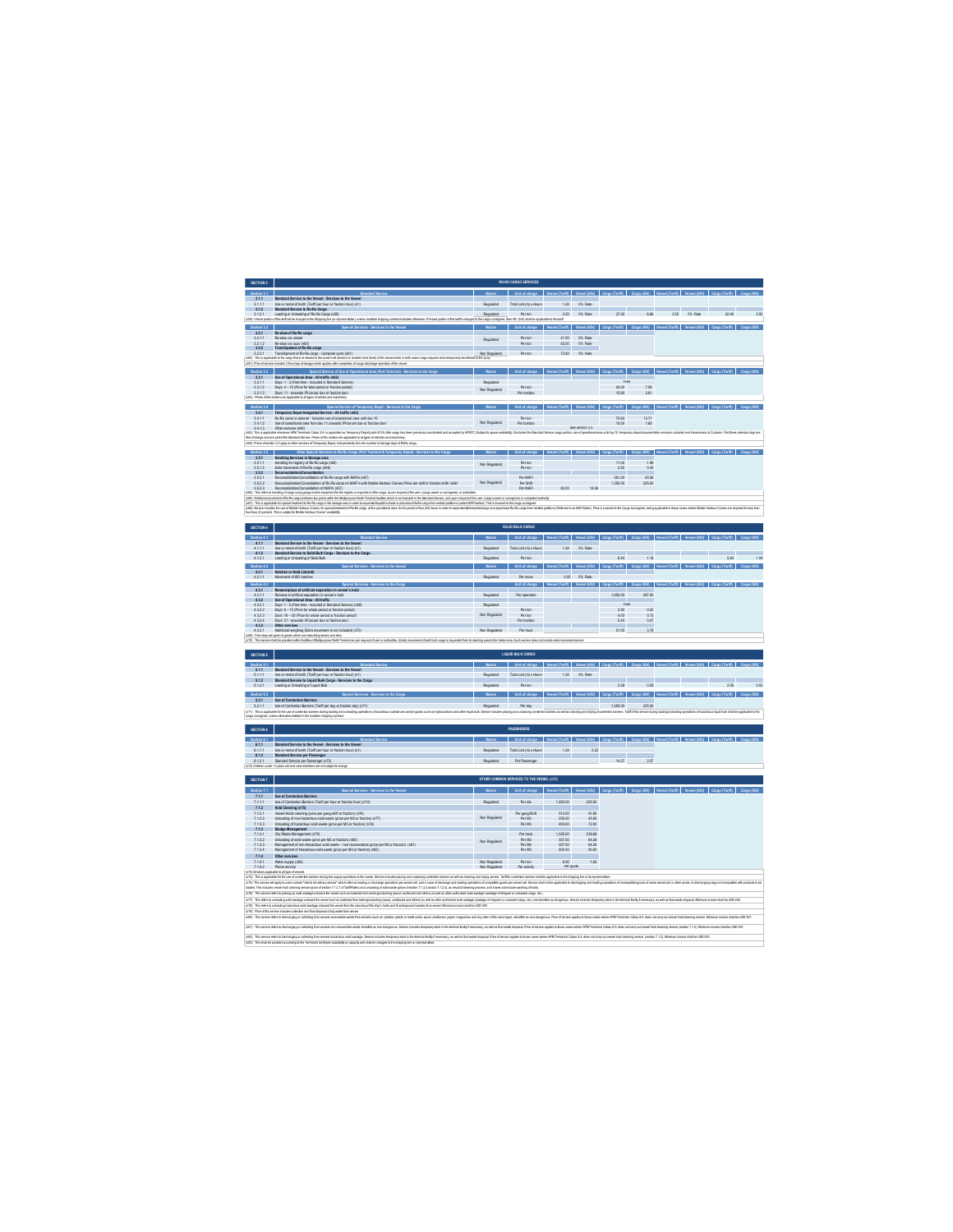| SECTION 3                       |                                                                                                                                                                                                                                                                                                                                                                      |                                                                | RO-RO CARGO SERVICES                                                                                                                           |                                                             |                         |                                                                     |                     |                                                                                                                      |                          |                                                                                                                                                 |      |
|---------------------------------|----------------------------------------------------------------------------------------------------------------------------------------------------------------------------------------------------------------------------------------------------------------------------------------------------------------------------------------------------------------------|----------------------------------------------------------------|------------------------------------------------------------------------------------------------------------------------------------------------|-------------------------------------------------------------|-------------------------|---------------------------------------------------------------------|---------------------|----------------------------------------------------------------------------------------------------------------------|--------------------------|-------------------------------------------------------------------------------------------------------------------------------------------------|------|
| Section 3.1                     |                                                                                                                                                                                                                                                                                                                                                                      |                                                                | Unit of charge Vessel (Tariff) Vessel (IGV) Cargo (Tariff) Cars                                                                                |                                                             |                         |                                                                     |                     |                                                                                                                      |                          |                                                                                                                                                 |      |
| 3.1.1.1                         | Standard Service to the Vessel - Services to the V<br>Use or rental of berth (Tariff per hour or fraction hour) (n1)                                                                                                                                                                                                                                                 | Repulated                                                      | Total LoA (m) x Hours                                                                                                                          | 1.24                                                        | 0% Rate                 |                                                                     |                     |                                                                                                                      |                          |                                                                                                                                                 |      |
| 312<br>3.1.2.1<br>d2) Vessel po | Standard Service to Ro-Ro Caren<br>Loading or Unioading of Ro-Ro Cargo (n59)                                                                                                                                                                                                                                                                                         | Regulated                                                      | Per ton<br>Civ (IVA) shall be ap                                                                                                               | 3.50                                                        | O% Rate                 | 37.00                                                               | 660                 |                                                                                                                      | 3.50 0% Rate             | 32.90                                                                                                                                           | 5.92 |
| Section 3.2                     | Mive), unless martime shipping contract indicates otherwise. EVessel portion of this terff is                                                                                                                                                                                                                                                                        | e cargo consig                                                 |                                                                                                                                                | <b>Graham River</b>                                         |                         |                                                                     |                     |                                                                                                                      |                          | Carno (Tariff) Carno (IGV)                                                                                                                      |      |
|                                 | Special Services - Services to the Vessel<br>3.2.1 Re-stow of Ro-Ro cargo                                                                                                                                                                                                                                                                                            |                                                                | Unit of charge Vessel (Tariff) Vessel (IOV) Cargo (Tariff) Cargo (IOV) Vessel (Tariff) Vessel (IOV)                                            |                                                             |                         |                                                                     |                     |                                                                                                                      |                          |                                                                                                                                                 |      |
| 3211<br>3212                    | Reuthwisk vessel<br>Re-stow via quay (n60)                                                                                                                                                                                                                                                                                                                           | Rendated                                                       | <b>Por ton</b>                                                                                                                                 | 4150<br>8300                                                | ON: Rate<br>O% Rate     |                                                                     |                     |                                                                                                                      |                          |                                                                                                                                                 |      |
| 3.2.2<br>3221                   | Transhipment of Ro-Ro cargo<br>Transhipment of Ro-Ro caren - Complete ovole (n61)                                                                                                                                                                                                                                                                                    | Non Renulated                                                  | <b>Por ton</b>                                                                                                                                 |                                                             | 72.80 0% Rate           |                                                                     |                     |                                                                                                                      |                          |                                                                                                                                                 |      |
|                                 | (6)). This appliable to the cargo field in values in the same hold (level) of the second field in took cases cargo requires to be temporarly bandle wid to the quiry.<br>(61). Pice of series includes 3 fee days distings which                                                                                                                                     |                                                                |                                                                                                                                                |                                                             |                         |                                                                     |                     |                                                                                                                      |                          |                                                                                                                                                 |      |
| Section 3.3                     | Special Service of Use of Operational Area (Port Terminal) - Services to the                                                                                                                                                                                                                                                                                         | <b>Nature</b>                                                  | Unit of charge Vessel (Tariff) Vessel (IGV) Cargo (Tariff) Cargo (IGV) Vessel (Ta                                                              |                                                             |                         |                                                                     |                     |                                                                                                                      |                          |                                                                                                                                                 |      |
| 3.3.1<br>3311                   | Use of Operational Area - All traffic (n62)<br>Davs: 1 - 3 (Free time - included in Standard Service)<br>Davs: 4 - 10 (Price for total period or fraction period)                                                                                                                                                                                                    | Rendated                                                       |                                                                                                                                                |                                                             |                         | Free                                                                |                     |                                                                                                                      |                          |                                                                                                                                                 |      |
| 3312<br>3.3.1.3                 | Days: 11 - onwards (Price per day or fraction day)                                                                                                                                                                                                                                                                                                                   | Non Regulated                                                  | Porton                                                                                                                                         |                                                             |                         | 42.00                                                               | 7.55<br>281         |                                                                                                                      |                          |                                                                                                                                                 |      |
|                                 | r62) Prices of this section are applicable to all types of vehicle and machinery.                                                                                                                                                                                                                                                                                    |                                                                |                                                                                                                                                |                                                             |                         |                                                                     |                     |                                                                                                                      |                          |                                                                                                                                                 |      |
| Section 3.4<br>3.4.1            | Spacial Service of Temporary Denot - Services to the I<br>Temporary Depot Integrated Service - All traffic (n63)                                                                                                                                                                                                                                                     | National                                                       | Unit of charge Vessel (Tariff) Vessel (IGV) Cargo (Tariff)                                                                                     |                                                             |                         |                                                                     | Carno (IGV)         |                                                                                                                      |                          |                                                                                                                                                 |      |
| 3.4.1.1<br>3412                 | Ro-Ro cargo in general - Includes use of operational area until day 10<br>Use of coerational area from day 11 onwards (Price per day or fraction day)                                                                                                                                                                                                                | Non Regulated                                                  | Per ton<br>Per tro/day                                                                                                                         |                                                             |                         | 70.60<br>10.00                                                      | 12.71<br>180        |                                                                                                                      |                          |                                                                                                                                                 |      |
| 3.4.1.3                         | Other services (n64)                                                                                                                                                                                                                                                                                                                                                 | led by APMTC (Subjectib space availability). It includes the S |                                                                                                                                                |                                                             | See section 3.5         | cargo porton, use of operational area until day 10, temporary depot |                     |                                                                                                                      |                          |                                                                                                                                                 |      |
|                                 | (v63). This is applicable whenever APM Terminals Callao S.A. is appointed as Temporary Depot (code 3014) after cargo has been pre<br>Hee of charge and are partof the Standard Service. Prices of this section are applicable to<br>e64): Prices of section 3.5 apply to other services of Temporary Depot, independently from the number of storage days of Rofitz- |                                                                |                                                                                                                                                |                                                             |                         |                                                                     |                     |                                                                                                                      |                          |                                                                                                                                                 |      |
| Section 3.5                     | Other Special Services to Ro-Ro Cargo (Port Terminal & Temporary Depot) - Services to the Carg                                                                                                                                                                                                                                                                       |                                                                | Nature   Unit of charge   Vessel (Tariff)   Vessel (IGV)   Cargo (Tariff)   Cargo (IGV)   Vessel (Tariff)                                      |                                                             |                         |                                                                     |                     |                                                                                                                      |                          |                                                                                                                                                 |      |
| 3.5.1<br>3.5.1.1                | <b>Handling Services in Storage area</b><br>Handling for registry of Ro-Ro cargo (n65)                                                                                                                                                                                                                                                                               |                                                                | Perton                                                                                                                                         |                                                             |                         | 11.00                                                               | 1.98                |                                                                                                                      |                          |                                                                                                                                                 |      |
| 3512<br>352                     | Extra movement of Ro-Ro caroo (n66)                                                                                                                                                                                                                                                                                                                                  | Non Regulated                                                  | <b>Por ton</b>                                                                                                                                 |                                                             |                         | 250                                                                 | 0.45                |                                                                                                                      |                          |                                                                                                                                                 |      |
| 3.52.1<br>3.522                 | Deconsolidation/Consolidation of Ro-Ro cargo with MAF is (n67)<br>Desconsolidation/Consolidation of Ro-Ro cargo en MAFT's with Mobile Harbour Cranes (Price per shift or fraction shift) (n68)                                                                                                                                                                       | Non Regulated                                                  | <b>Par MAFI</b><br>Per Shift                                                                                                                   |                                                             |                         | 281.00<br>1,250.00                                                  | 50.58<br>225.00     |                                                                                                                      |                          |                                                                                                                                                 |      |
| 3523<br>(N) This refers to be   | Deconocidation/Consolidation of MAFI's (o57)                                                                                                                                                                                                                                                                                                                         |                                                                | <b>Par MAFI</b>                                                                                                                                | 83.00                                                       | 14.94                   |                                                                     |                     |                                                                                                                      |                          |                                                                                                                                                 |      |
|                                 | anding of cargo sang ando apaprantho ha again or impacten of ha cargo, as per repeat of ha saer, (cargo now or consignes), or authorias.<br>mento! Ro-Ro sapp beheen to posts whit ha Malpupose Noth Termini acidia and is not co<br>rôt) Additional movement of Ro-Ro cargo bete                                                                                    |                                                                |                                                                                                                                                |                                                             |                         |                                                                     |                     |                                                                                                                      |                          |                                                                                                                                                 |      |
|                                 | en Tha agaalo suudaano ka suu kaapaa sata sanaloptoisee paakilta seksaa ka maa tallitaa laa maata see saga.<br>Ali lee nolma suuda hoo Concil maa maanimaan ka yaa maa sanad ka maa maa maanimaa saan maa maa maa maa maa maa<br>koo                                                                                                                                 |                                                                |                                                                                                                                                |                                                             |                         |                                                                     |                     |                                                                                                                      |                          |                                                                                                                                                 |      |
|                                 |                                                                                                                                                                                                                                                                                                                                                                      |                                                                |                                                                                                                                                |                                                             |                         |                                                                     |                     |                                                                                                                      |                          |                                                                                                                                                 |      |
| SECTION 4                       |                                                                                                                                                                                                                                                                                                                                                                      |                                                                | SOLID BULK CARGO                                                                                                                               |                                                             |                         |                                                                     |                     |                                                                                                                      |                          |                                                                                                                                                 |      |
| Section 4.1                     | Standard Serv                                                                                                                                                                                                                                                                                                                                                        |                                                                | Unit of charge   Vessel (Tariff)   Vessel (IGV)   Cargo (Tariff)   Cargo (IGV)   Vessel (Tariff)   Vessel (IGV)   Cargo (Tariff)   Cargo (IGV) |                                                             |                         |                                                                     |                     |                                                                                                                      |                          |                                                                                                                                                 |      |
| 4111                            | 4.1.1 Standard Service to the Vessel - Services to the Vessel                                                                                                                                                                                                                                                                                                        | Rendated                                                       | Total LoA (m) y Hours                                                                                                                          | 124                                                         | O% Rate                 |                                                                     |                     |                                                                                                                      |                          |                                                                                                                                                 |      |
| 412<br>4.12.1                   | Use or rental of berth (Tariff cer hour or fraction hour) (nt)<br>Standard Service to Solid Bulk Cargo - Services to the Car<br>Loading or Unioading of Solid Bulk                                                                                                                                                                                                   |                                                                |                                                                                                                                                |                                                             |                         | 6.44                                                                | 1.16                |                                                                                                                      | <b>Contract Contract</b> | 5.80                                                                                                                                            |      |
| Section 4.2                     | Searchil Services - Service                                                                                                                                                                                                                                                                                                                                          |                                                                | Unit of charge Vessel (Tariff) Vessel (IGV) Cargo (Tariff) Cargo (IGV) Vessel (Tariff) Vessel (IGV) Cargo (Tariff) Cargo (IGV)                 |                                                             |                         |                                                                     |                     |                                                                                                                      |                          |                                                                                                                                                 |      |
| 42.1<br>4.2.1.1                 | Hatches or Hold Lids(n5)<br>Movement of ISO hatches                                                                                                                                                                                                                                                                                                                  | Repulated                                                      | Por move                                                                                                                                       |                                                             | 0.00 0% Rate            |                                                                     |                     |                                                                                                                      |                          |                                                                                                                                                 |      |
| Section 4.2<br>43.1             | Snarial Sarvines - Servines to the C<br>Removelelace of artificial separation in vessel's hold                                                                                                                                                                                                                                                                       |                                                                |                                                                                                                                                |                                                             |                         |                                                                     |                     | Unit of charge Vessel (Tariff)   Vessel (IGV)   Cargo (Tariff)   Cargo (IGV)   Vessel (Tariff)   Vessel (IGV)   Carg |                          |                                                                                                                                                 |      |
| 4311<br>432                     | Remnue of artificial senaration in vessel's hold<br>like of Operational Area - All traffic                                                                                                                                                                                                                                                                           | Rendated                                                       | Por cooration                                                                                                                                  |                                                             |                         | 1,650.00                                                            | 297.00              |                                                                                                                      |                          |                                                                                                                                                 |      |
| 4.3.2.1                         | Davs: 1 - 5 (Free time - included in Standard Service) (n69)<br>Davs: 6 - 15 (Price for whole period or fraction period)                                                                                                                                                                                                                                             | <b>Deaughted</b>                                               |                                                                                                                                                |                                                             |                         | Free                                                                | 0.52                |                                                                                                                      |                          |                                                                                                                                                 |      |
| 4322<br>4323                    | Days: 16 - 30 (Price for whole period or fraction period)                                                                                                                                                                                                                                                                                                            | Non Regulated                                                  | Per ton<br>Per ton                                                                                                                             |                                                             |                         | 250<br>4.00<br>0.40                                                 | 0.72<br>0.07        |                                                                                                                      |                          |                                                                                                                                                 |      |
| 4324                            | Days: 31 - onwards (Price per day or fraction day)<br>Other service                                                                                                                                                                                                                                                                                                  | Non Regulated                                                  | Per ton/day                                                                                                                                    |                                                             |                         |                                                                     |                     |                                                                                                                      |                          |                                                                                                                                                 |      |
| 4.3.3.1                         | Additional weighing (Extra movement is not included) (n70)<br>ritil/: Free days are clien to goods which use absorbing towers and silos.                                                                                                                                                                                                                             |                                                                | Pertnuck                                                                                                                                       |                                                             |                         | 21.00                                                               | 3.78                |                                                                                                                      |                          |                                                                                                                                                 |      |
|                                 | (n70) This service shall be provided within facilities of Multipurpose North Terminal as per request of user or authorities. (Exte) movement of solid bulk cargo is red                                                                                                                                                                                              |                                                                | led forn its stacking area to the Gates area. Such service does not include extra movement service.                                            |                                                             |                         |                                                                     |                     |                                                                                                                      |                          |                                                                                                                                                 |      |
| SECTION 5                       |                                                                                                                                                                                                                                                                                                                                                                      |                                                                | LIQUID BULK CARGO                                                                                                                              |                                                             |                         |                                                                     |                     |                                                                                                                      |                          |                                                                                                                                                 |      |
| Section 51<br>511               | Standard Service<br>Standard Service to the Vessel - Services to the Vess-                                                                                                                                                                                                                                                                                           | Matura                                                         | Unit of charge Vessel (Tariff)   Vessel (IGV)   Cargo (Tariff)   Cargo (IGV)   Vessel (Tariff)   Vessel (IGV)   Cargo (Tariff)   Cargo (IGV)   |                                                             |                         |                                                                     |                     |                                                                                                                      |                          |                                                                                                                                                 |      |
| 5.1.1.1                         | Use or rental of berth (Tariff per hour or fraction hour) (n1)                                                                                                                                                                                                                                                                                                       | Repulated                                                      | Total LoA (m) x Hours                                                                                                                          | 1.24                                                        | 0% Rate                 |                                                                     |                     |                                                                                                                      |                          |                                                                                                                                                 |      |
| 512<br>5.12.1                   | Standard Service to Liquid Bulk Caroo - Services to the Caro<br>Loading or Uniceding of Liquid Bulk                                                                                                                                                                                                                                                                  |                                                                | Per to                                                                                                                                         |                                                             |                         | 3.28                                                                | 0.55                |                                                                                                                      |                          | 795                                                                                                                                             | 0.53 |
| Section 5.2                     |                                                                                                                                                                                                                                                                                                                                                                      |                                                                | Unit of charge                                                                                                                                 | Vessel (Tariff) Vessel (IGV) Cargo (Tariff) Cargo (IGV) Ve  |                         |                                                                     |                     | d (Tariff)                                                                                                           |                          | Vessel (IGV) Cargo (Tariff) Cargo (IGV)                                                                                                         |      |
| 5.2.1.1                         | 5.2.1 Use of Contention Barriers<br>Use of Contention Barriers (Tariff per day or fraction day) (n71)                                                                                                                                                                                                                                                                | Repulated                                                      | Perday                                                                                                                                         |                                                             |                         | 1,250.00                                                            | 225.00              |                                                                                                                      |                          |                                                                                                                                                 |      |
| (r71) This is ap-               | lcable for the use of contention barriers during loading and unloading operatio<br>argo consignes, unless otherwise detailed in the maritime shipping co-                                                                                                                                                                                                            | Senice includes placing and unplacing                          |                                                                                                                                                |                                                             |                         |                                                                     |                     |                                                                                                                      |                          |                                                                                                                                                 |      |
|                                 |                                                                                                                                                                                                                                                                                                                                                                      |                                                                |                                                                                                                                                |                                                             |                         |                                                                     |                     |                                                                                                                      |                          |                                                                                                                                                 |      |
| SECTION 6                       |                                                                                                                                                                                                                                                                                                                                                                      |                                                                | PASSENGERS                                                                                                                                     |                                                             |                         |                                                                     |                     |                                                                                                                      |                          |                                                                                                                                                 |      |
| Section 6.1<br>٦I               | 6.1.1 Standard Service to the Vessel - Services to the Vessel                                                                                                                                                                                                                                                                                                        |                                                                | Unit of charge                                                                                                                                 | Vessel (Tariff) Vessel (IGV) Cargo (Tariff) Cargo (IGV) Ves |                         |                                                                     |                     |                                                                                                                      |                          |                                                                                                                                                 |      |
| 6.1.1.1<br>6.1.2                | Use or rental of berth (Tariff per hour or fraction hour) (n1)<br>Standard Service per Passenger                                                                                                                                                                                                                                                                     | Repulsies                                                      | Total LoA (m) x Hours                                                                                                                          | 124                                                         | 0.22                    |                                                                     |                     |                                                                                                                      |                          |                                                                                                                                                 |      |
|                                 | 6.1.2.1 Standard Service per Passenser (n.72)<br>(n.72) Chidren under 12 years old and crew members are not subject to charge.                                                                                                                                                                                                                                       | Regulated                                                      | Par Passenger                                                                                                                                  |                                                             |                         | 14.27                                                               | 2.57                |                                                                                                                      |                          |                                                                                                                                                 |      |
|                                 |                                                                                                                                                                                                                                                                                                                                                                      |                                                                |                                                                                                                                                |                                                             |                         |                                                                     |                     |                                                                                                                      |                          |                                                                                                                                                 |      |
| SECTION 7                       |                                                                                                                                                                                                                                                                                                                                                                      |                                                                | OTHER COMMON SERVICES TO THE VESSEL (n73)                                                                                                      |                                                             |                         |                                                                     |                     |                                                                                                                      |                          |                                                                                                                                                 |      |
| <b>Contact 74</b>               | Searchi Services - Services to the Vas<br>711 Ilse of Contention Ramiers                                                                                                                                                                                                                                                                                             | Nature                                                         | Unit of charge Vessel (Tariff) Vessel (IGV) Cargo (Tariff) Cargo (IGV)                                                                         |                                                             |                         |                                                                     |                     |                                                                                                                      |                          |                                                                                                                                                 |      |
| 7.1.1.1                         | Use of Contention Barriers (Tariff per hour or fraction hour) (n74)                                                                                                                                                                                                                                                                                                  | Repulsted                                                      | Por dia                                                                                                                                        | 1.250.00                                                    | 225.00                  |                                                                     |                     |                                                                                                                      |                          |                                                                                                                                                 |      |
| 7.1.2<br>7.12.1                 | Hold Cleaning (n75)<br>Vessel Holds cleaning (price per gang-shift or fraction) (n76)                                                                                                                                                                                                                                                                                |                                                                | Per gang/Shift                                                                                                                                 | 510.00                                                      | 91.80                   |                                                                     |                     |                                                                                                                      |                          |                                                                                                                                                 |      |
| 7.122<br>7123                   | Unloading of non-hazardous solid waste (price per M3 or fraction) (n77)<br>Unloading of hazardous solid waste (price per M3 or fraction) (n78)                                                                                                                                                                                                                       | Non Regulated                                                  | Per M3<br>Por M <sub>2</sub>                                                                                                                   | 255.00<br>400.00                                            | 45.90<br>72.00          |                                                                     |                     |                                                                                                                      |                          |                                                                                                                                                 |      |
| 7.1.3<br>7.13.1                 | <b>Sludge Management</b><br>Oliv Waste Management (n79)                                                                                                                                                                                                                                                                                                              |                                                                | Per truck                                                                                                                                      | 1,326.00                                                    | 238.68                  |                                                                     |                     |                                                                                                                      |                          |                                                                                                                                                 |      |
| 7.132                           | Unioading of solid waste (price per M3 or fraction) (n80)<br>Management of non-Hazardous solid waste - non recoverables (price per M3 o fracción) (n81)                                                                                                                                                                                                              | Non Regulated                                                  | Per M3<br>Per M4                                                                                                                               | 357.00                                                      | 64.26                   |                                                                     |                     |                                                                                                                      |                          |                                                                                                                                                 |      |
| 7.133<br>7134                   | Management of Hazantous solid waste (orine ner M3 or fraction) (eR2)                                                                                                                                                                                                                                                                                                 |                                                                | Por MR                                                                                                                                         | $\frac{36}{357.00}$<br>500.00                               | 64.26<br>90.00          |                                                                     |                     |                                                                                                                      |                          |                                                                                                                                                 |      |
| 7.1.4                           | Other services                                                                                                                                                                                                                                                                                                                                                       |                                                                | Per ton                                                                                                                                        |                                                             | 1.60                    |                                                                     |                     |                                                                                                                      |                          |                                                                                                                                                 |      |
| 7.14.1<br>7.14.2                | Water succiv (n83)<br>(73) Senices applicable to all type of ressels.                                                                                                                                                                                                                                                                                                | Non Regulated<br>Non Regulated                                 | Per activity                                                                                                                                   | $\frac{8.90}{Perq}$                                         |                         |                                                                     |                     |                                                                                                                      |                          |                                                                                                                                                 |      |
| 174): This is app               | Inshie for the use of contention<br>in during fuel supply coerations to the ve                                                                                                                                                                                                                                                                                       |                                                                | and drying service. Tarifficr contention barriers shall be applicable to the shipping line or its representative.                              |                                                             |                         |                                                                     |                     |                                                                                                                      |                          |                                                                                                                                                 |      |
|                                 | .<br>(n*3): This service will apply to users named "cleant of orderary service" which when to suddy of discussing per wassel call, and include of discharge and backing persention of compatible poors per wassel call. Service<br>l                                                                                                                                 |                                                                | ing operations of compatible goods per vessel call. Service shall not be applicable to disc                                                    |                                                             |                         |                                                                     |                     |                                                                                                                      |                          | hesing and loading coesitions of incompatible goods of same wased call. In other words, to discharging cargo not compatible with products to be |      |
|                                 | 176): This service refers to picking up solid wastage onboard the vessel such as materials for<br>and and others) as well as other aut<br>inglunisshing (wood, cardbo<br>n77) This refers to unloading sold wastage onb<br>ind the wasel such as materials from lashing/unlar<br>ng (wood, cardboard and others) as well as other authorized solid wastage (         | id wastege (wastege of shipped or unloaded cargo, etc.)        | nloaded cargo, etc.) not cla                                                                                                                   |                                                             |                         |                                                                     |                     | afed as dangerous. Service includes temporary store in the terminal facilty finecessary, as well as final waste dap  |                          | sal Minimum invoice shall be USD 255                                                                                                            |      |
|                                 | (r78). This relea to unbading hazardous sold washine orboard he wasel forn the cleaning of he ship's holds and firel disposed of washes form wasal. Minimum invoice shall be USD 400<br>(r79). Price of this service includes col                                                                                                                                    |                                                                |                                                                                                                                                |                                                             |                         |                                                                     |                     |                                                                                                                      |                          |                                                                                                                                                 |      |
|                                 | (r80): This service refers to discharging or collecting from vessels recoverable weate from yer                                                                                                                                                                                                                                                                      |                                                                | es and any other of the same tipe), classified as non-dangerous. Price of service applies to those cases where APM Te                          |                                                             |                         |                                                                     | da Callao S.A. does |                                                                                                                      |                          | old cleaning service. Minimum invoice shall be USD 357                                                                                          |      |
|                                 | (d)). This service when to discharging or called to form was all non-accepted as non-denators. Service includes tencoming to the terminal factor free assess as well as full includes the income assess that we have been a fu                                                                                                                                       |                                                                |                                                                                                                                                |                                                             |                         |                                                                     |                     |                                                                                                                      |                          |                                                                                                                                                 |      |
|                                 | 1821 This service refers to discharging or co<br>in store in the ten<br>ary, as well as final w                                                                                                                                                                                                                                                                      |                                                                | is to those cases where APM Ter                                                                                                                |                                                             | als Callao S.A. does no |                                                                     |                     | sel hold deaning service (section 7.1.2). Minimum invoice shall be USD 500.                                          |                          |                                                                                                                                                 |      |
|                                 |                                                                                                                                                                                                                                                                                                                                                                      |                                                                |                                                                                                                                                |                                                             |                         |                                                                     |                     |                                                                                                                      |                          |                                                                                                                                                 |      |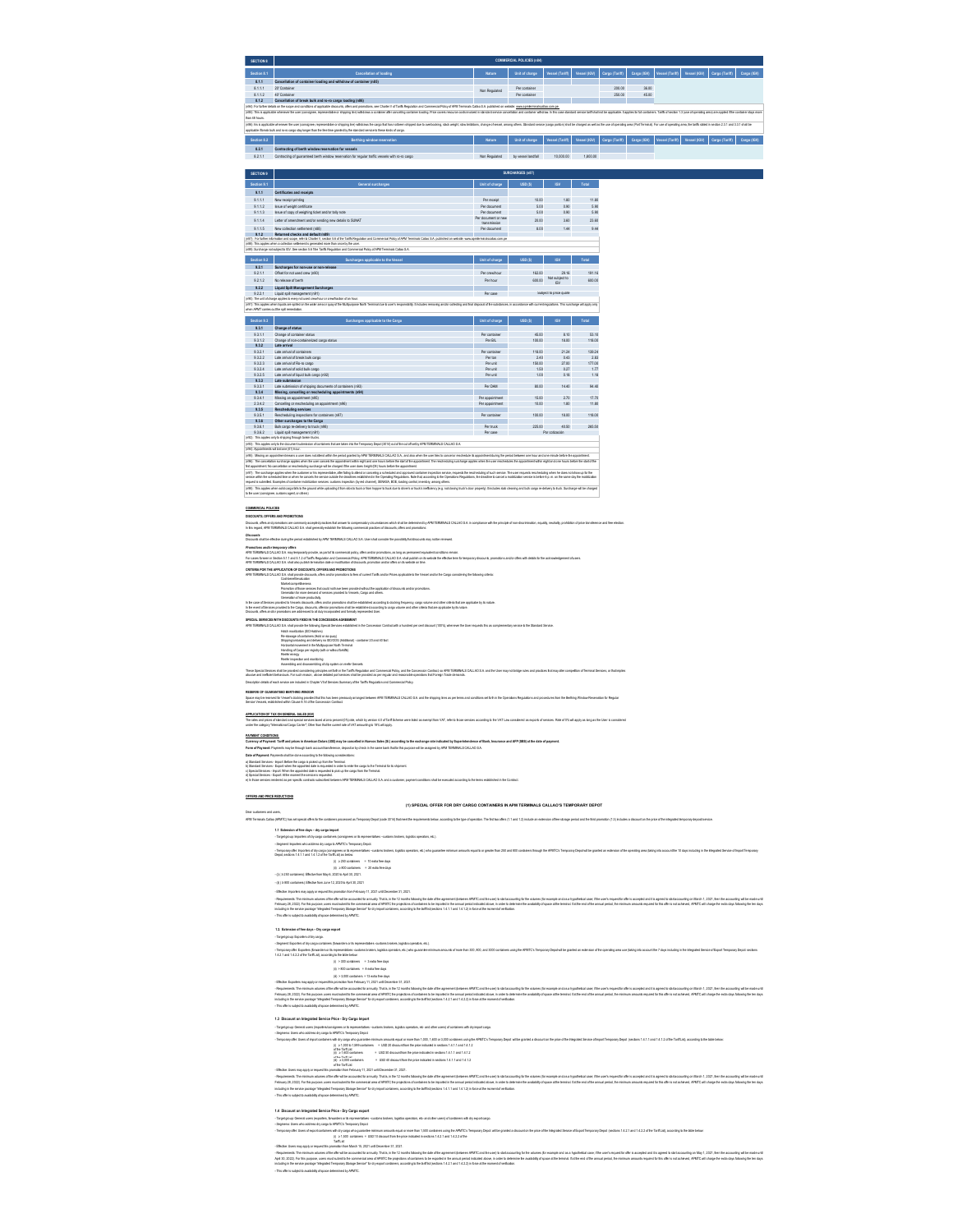| <b>SECTION 8</b>                                                                                                                                                                                                               | COMMERCIAL POLICIES (n84)                                                                                                                                                                                                      |               |                    |                 |                             |                             |             |                 |              |                            |             |  |
|--------------------------------------------------------------------------------------------------------------------------------------------------------------------------------------------------------------------------------|--------------------------------------------------------------------------------------------------------------------------------------------------------------------------------------------------------------------------------|---------------|--------------------|-----------------|-----------------------------|-----------------------------|-------------|-----------------|--------------|----------------------------|-------------|--|
| Section 8.1                                                                                                                                                                                                                    | <b>Cancellation of loading</b>                                                                                                                                                                                                 | Nature        | Unit of charge     | Vessel (Tariff) |                             | Vessel (IGV) Caroo (Tariff) | Cargo (IGV) | Vessel (Tariff  | Vessel (IGV) | Cargo (Tariff)             | Cargo (IGV) |  |
| 8.1.1                                                                                                                                                                                                                          | Cancellation of container loading and withdraw of container (n85)                                                                                                                                                              |               |                    |                 |                             |                             |             |                 |              |                            |             |  |
| 8.1.1.1                                                                                                                                                                                                                        | 20" Container                                                                                                                                                                                                                  | Non Regulated | Per container      |                 |                             | 200.00                      | 36.00       |                 |              |                            |             |  |
| 8.1.12                                                                                                                                                                                                                         | 40' Container                                                                                                                                                                                                                  |               | Per container      |                 |                             | 250.00                      | 45.00       |                 |              |                            |             |  |
| 8.1.2                                                                                                                                                                                                                          | Cancellation of break bulk and ro-ro cargo loading (n35)                                                                                                                                                                       |               |                    |                 |                             |                             |             |                 |              |                            |             |  |
| (n84): For further details on the scope and conditions of applicable discounts, offers and promptions, see Charter V of Tarifs Requision and Commercial Policy of APM Terminals Calleo S.A. published on website: www.apmitern |                                                                                                                                                                                                                                |               |                    |                 |                             |                             |             |                 |              |                            |             |  |
|                                                                                                                                                                                                                                | (e85): This is applicable whenever the user (consigner, representative or shipping free) withdows a container address about the perception on the considerer and produce on the second including service candal paradige and c |               |                    |                 |                             |                             |             |                 |              |                            |             |  |
| than 48 hours                                                                                                                                                                                                                  |                                                                                                                                                                                                                                |               |                    |                 |                             |                             |             |                 |              |                            |             |  |
|                                                                                                                                                                                                                                | (rdd) his is applicable whenews the user (consignee, representative or abipping line) withdraws the cargo that has orches religeed due to ownbooking, stack weight, store initiations, change of reseals among others. Standar |               |                    |                 |                             |                             |             |                 |              |                            |             |  |
|                                                                                                                                                                                                                                | applicable if break bulk and ro-ro carpo stay broar than the free time granted by the standard service to these kinds of carpo.                                                                                                |               |                    |                 |                             |                             |             |                 |              |                            |             |  |
| Section 8.2                                                                                                                                                                                                                    | Berthing window reservation                                                                                                                                                                                                    | Nature        | Unit of charge     | Vessel (Tariff) | Vessel (IGV) Caroo (Tariff) |                             | Cargo (IGV) | Vessel (Tariff) | Vessel (IGV) | Cargo (Tariff) Cargo (IGV) |             |  |
| 8.2.1                                                                                                                                                                                                                          | Contracting of berth window reservation for vessels                                                                                                                                                                            |               |                    |                 |                             |                             |             |                 |              |                            |             |  |
| 8.2.1.1                                                                                                                                                                                                                        | Contracting of quaranteed berth window reservation for regular traffic vessels with ro-ro cargo                                                                                                                                | Non Regulated | by yessel landfall | 10.000.00       | 1,800.00                    |                             |             |                 |              |                            |             |  |

| <b>SECTION 9</b> | SURCHARGES (n87)                                                                                                                                                                                                                                                                                                                                                                                                                                                                                                                                                                                                                  |                                     |                    |                          |        |  |  |  |
|------------------|-----------------------------------------------------------------------------------------------------------------------------------------------------------------------------------------------------------------------------------------------------------------------------------------------------------------------------------------------------------------------------------------------------------------------------------------------------------------------------------------------------------------------------------------------------------------------------------------------------------------------------------|-------------------------------------|--------------------|--------------------------|--------|--|--|--|
| Section 9.1      | General surcharoes                                                                                                                                                                                                                                                                                                                                                                                                                                                                                                                                                                                                                | Unit of charge                      | <b>LISO (S)</b>    | <b>IGV</b>               | Total  |  |  |  |
| 9.1.1            | Certificates and receipts                                                                                                                                                                                                                                                                                                                                                                                                                                                                                                                                                                                                         |                                     |                    |                          |        |  |  |  |
| 9.1.1.1          | New receipt printing                                                                                                                                                                                                                                                                                                                                                                                                                                                                                                                                                                                                              | <b>Per receipt</b>                  | 10.00              | 1.80                     | 11.80  |  |  |  |
| 9112             | Issue of weight certificate                                                                                                                                                                                                                                                                                                                                                                                                                                                                                                                                                                                                       | Par document                        | 5.00               | 0.90                     | 5.90   |  |  |  |
| 9.1.1.3          | Issue of copy of weighing ticket and/or tally note                                                                                                                                                                                                                                                                                                                                                                                                                                                                                                                                                                                | Per document                        | 5.00               | 0.90                     | 5.90   |  |  |  |
| 9.1.1.4          | Letter of amendment and/or sending new details to SUNAT                                                                                                                                                                                                                                                                                                                                                                                                                                                                                                                                                                           | Par document or new<br>transmission | 20.00              | 3.60                     | 23.60  |  |  |  |
| 9115             | New collection settlement (n88)                                                                                                                                                                                                                                                                                                                                                                                                                                                                                                                                                                                                   | <b>Par document</b>                 | 8.00               | 1.44                     | 9.44   |  |  |  |
| 912              | Returned checks and default (693).                                                                                                                                                                                                                                                                                                                                                                                                                                                                                                                                                                                                |                                     |                    |                          |        |  |  |  |
|                  | (n37): For further information and accos, refer to Charter V, section 5.6 of the Tartfe Reculation and Commercial Policy of APM Terminals Callao S.A. cublished on website: www.apmterminalscallao.com.pe<br>InSS): This applies when a collection settlement is penerated more than once by the user.<br>InBSI: Surcharoe not subject to IGV. See section 5.6 f the Tarifs Reculation and Commercial Policy of APM Terminals Calao S.A.                                                                                                                                                                                          |                                     |                    |                          |        |  |  |  |
| Section 9.2      | Surcharges applicable to the Vessel                                                                                                                                                                                                                                                                                                                                                                                                                                                                                                                                                                                               | Unit of charge                      | USD <sub>(S)</sub> | <b>IGV</b>               | Total  |  |  |  |
| 921              | Surcharges for non-use or non-release                                                                                                                                                                                                                                                                                                                                                                                                                                                                                                                                                                                             |                                     |                    |                          |        |  |  |  |
| 9211             | Offset for not used crew (n90)                                                                                                                                                                                                                                                                                                                                                                                                                                                                                                                                                                                                    | Par repulsors                       | 162.00             | 29.55                    | 191.16 |  |  |  |
| 9212             | No release of berth                                                                                                                                                                                                                                                                                                                                                                                                                                                                                                                                                                                                               | Par hour                            | 600.00             | Not subject to           | 500.00 |  |  |  |
| 9.2.2            | <b>Liquid Soil Management Surcharges</b>                                                                                                                                                                                                                                                                                                                                                                                                                                                                                                                                                                                          |                                     |                    | <b>IGV</b>               |        |  |  |  |
| 9.22.1           | Liquid soil management (n91)                                                                                                                                                                                                                                                                                                                                                                                                                                                                                                                                                                                                      | Per case                            |                    | Subject to price quote   |        |  |  |  |
|                  | (rd0): The unit of charge applies to every not used crewhour or crew/faction of an hour.                                                                                                                                                                                                                                                                                                                                                                                                                                                                                                                                          |                                     |                    |                          |        |  |  |  |
|                  | (nd 1). This applies when liquids are splited on the water area or quay of the Matigurpose North Terminal due to user's responsibility. it robutes removing and/or quality calleding and final disposal of the substances, in<br>when APMT carries out the soil remediation.                                                                                                                                                                                                                                                                                                                                                      |                                     |                    |                          |        |  |  |  |
| Section 9.3      | Surcharoes applicable to the Caroo                                                                                                                                                                                                                                                                                                                                                                                                                                                                                                                                                                                                | Unit of charge                      | USD (S)            | <b>IGV</b>               | Total  |  |  |  |
| 931              | Change of status                                                                                                                                                                                                                                                                                                                                                                                                                                                                                                                                                                                                                  |                                     |                    |                          |        |  |  |  |
| 9.3.1.1          | Change of container status                                                                                                                                                                                                                                                                                                                                                                                                                                                                                                                                                                                                        | Per container                       | 45.00              | 8.10                     | 53.10  |  |  |  |
| 9312             | Change of non-containerized cargo status                                                                                                                                                                                                                                                                                                                                                                                                                                                                                                                                                                                          | Per R1                              | 100.00             | 18.00                    | 118.00 |  |  |  |
| 9.3.2            | Late arrival                                                                                                                                                                                                                                                                                                                                                                                                                                                                                                                                                                                                                      |                                     |                    |                          |        |  |  |  |
| 9321             | Late arrival of containers                                                                                                                                                                                                                                                                                                                                                                                                                                                                                                                                                                                                        | Por rectainar                       | 118.00             | 21.24                    | 139.24 |  |  |  |
| 9322             | Late arrival of break bulk cargo                                                                                                                                                                                                                                                                                                                                                                                                                                                                                                                                                                                                  | <b>Por the</b>                      | 240                | 0.43                     | 2.83   |  |  |  |
| 9.323            | Late arrival of Ro-ro cargo                                                                                                                                                                                                                                                                                                                                                                                                                                                                                                                                                                                                       | Per unit                            | 150.00             | 27.00                    | 177.00 |  |  |  |
| 9324             | I gig arrival of solid hulk como.                                                                                                                                                                                                                                                                                                                                                                                                                                                                                                                                                                                                 | Par unit                            | 1.50               | 0.27                     | 177    |  |  |  |
| 9.325            | Late arrival of liquid bulk cargo (rr92)                                                                                                                                                                                                                                                                                                                                                                                                                                                                                                                                                                                          | Per unit                            | 1.00               | 0.18                     | 1.18   |  |  |  |
| 9.3.3            | Late submission                                                                                                                                                                                                                                                                                                                                                                                                                                                                                                                                                                                                                   |                                     |                    |                          |        |  |  |  |
| 9331             | Late submission of shipping documents of containers (n93)                                                                                                                                                                                                                                                                                                                                                                                                                                                                                                                                                                         | Por DAM                             | 80.00              | 54.40                    | 94.40  |  |  |  |
| 9.3.4            | Missing, cancelling or rescheduling appointments (n94)                                                                                                                                                                                                                                                                                                                                                                                                                                                                                                                                                                            |                                     |                    |                          |        |  |  |  |
| 9.3.4.1          | Missing an appointment (rdS)                                                                                                                                                                                                                                                                                                                                                                                                                                                                                                                                                                                                      | Per appointment                     | 15.00              | 2.70                     | 17.70  |  |  |  |
| 2342             | Canceling or rescheduling an appointment (rd6)                                                                                                                                                                                                                                                                                                                                                                                                                                                                                                                                                                                    | Per appointment                     | 10.00              | 1.80                     | 11.80  |  |  |  |
| 9.3.5            | <b>Rescheduling services</b>                                                                                                                                                                                                                                                                                                                                                                                                                                                                                                                                                                                                      |                                     |                    |                          |        |  |  |  |
| 9351             | Rescheduling inspections for containers (r87)                                                                                                                                                                                                                                                                                                                                                                                                                                                                                                                                                                                     | Por rectainar                       | 100.00             | 18.00                    | 118.00 |  |  |  |
| 9.3.6            | Other surcharges to the Cargo                                                                                                                                                                                                                                                                                                                                                                                                                                                                                                                                                                                                     |                                     |                    |                          |        |  |  |  |
| 9.3.6.1          | Bulk cargo re-delivery to truck (n98)                                                                                                                                                                                                                                                                                                                                                                                                                                                                                                                                                                                             | Per truck                           | 225.00             | 40.50<br>Par collización | 265.50 |  |  |  |
| 9362             | Liquid soil management (n91)<br>(rd2): This applies only to shipping through tanker trucks.                                                                                                                                                                                                                                                                                                                                                                                                                                                                                                                                       | Por rase                            |                    |                          |        |  |  |  |
|                  | (rd3): This applies only to the document submission of containers that are taken into the Temporary Depot (3014) out of the cut of sector APM TERMINALS CALLAO S.A.<br>HIA's Appointments will last one (01) hour.                                                                                                                                                                                                                                                                                                                                                                                                                |                                     |                    |                          |        |  |  |  |
|                  | (195). Maxing an appointment means a user does not attend within the period granted by APM TERMAALS CALLAO S.A., and also when the user trea to cancel or reschedule its appointmentduring the period of the period of the per                                                                                                                                                                                                                                                                                                                                                                                                    |                                     |                    |                          |        |  |  |  |
|                  | (r05): The cancellation surcharoe accles when the user cancels the accordment within eichtand one hours below the start of the reconstment. The rescheduling surcharoe accles when the user reachedules the accordment within<br>frat appointment. No cancellation or reachedulino surcharoe will be charged if the user does it eight) DSI hours before the appointment.                                                                                                                                                                                                                                                         |                                     |                    |                          |        |  |  |  |
|                  | (rd7): The surcharge applies when the customer or his representative, after falling to attend or canceling a scheduled and approved container inspection service, requests the rescheduling of such searchs. The user requests<br>service within the achecluled firms or when he cancels the service cutation ed anglines established in the Coeration Reculations. Note that according to the Coerations Reculations, the deadline to cancel a mobilization ser<br>request is submitted. Examples of container mobilization services: customs inspection (by red channe), SENASA, BOE, loading control, inventory, among others. |                                     |                    |                          |        |  |  |  |
|                  | (rBS): This applies when solid careo falls to the organd while upbeding ithors also to tack or from also to tuck on to nope to tuck day to driver's control inefficiency (e.g. not doping truck's) dogr properly). Eincludes s<br>to the user (consignee, customs agent or others)                                                                                                                                                                                                                                                                                                                                                |                                     |                    |                          |        |  |  |  |

COMMAL ROCES<br>Decom dan spesia na mampungki pada temur terpuninyeranca siti alit siserini p.W TSBN 5000500034 memberah tapap<br>hisape AM TBBN 500053 milangkatah tahung amaci pada diacah, dia sejarata; Decipts daik deut wise en total a Dept Videous Smery da Teft Rejaks ed Comercial Paly.<br>1820ko 6 ouvert202000ko 1920ko Hidris kao monda yang dalam Mill Deciptory and terminal organism terminal part<br>Sem Yeak, addat dik Casa Hoursele comments in Multipursal to the results of the results<br>have the comments of the results of the results of the results of the results of the results of the results of<br>Assessing tool dissurance per grand on the faces These Special Structure and he provided considering principle set for in Tarth Regulation and Commercial Poloy and the Concession Content, so APM TERMINULS CALLAO S.A. and the User may nothridge rules and praise<br>absolve an Doors, An androndon a stimuly a day cooperate they have be "sent them"<br>WHO, WHOCH WHO CONTROL INTO CONTROL ARRESTS IN CONTROL AND A Substitute of four of the state in the complete by social fields firms.<br>WHO (WHO CONTROL I . Naktion-pullisessa kassa katsai taitukse kesä poiket alkaite sepidera of dessara antio peredena.<br>- Generalise tiin on denet of levines poiket in vasik. Corpored eksa.<br>- In the excellence of the point of the excellence o all Talled Couch Assembrance and it emergings also probably as to prevente plate to deal.<br>WITHOUT COUCH will applie through the readistriction of the couple of the state in the little to the property and the streatgestrian *Discounts*<br>Discounts shall be effective during the pariod extektional by APM TEPMINALS CALLAO S.A. User shall consider the possibility that discounts may not be renewe Discounts shall be effective during the period established by APM TERMINALS CALLAO S.A. User shall consider the possibility that discounts may not be renewed.<br>**Promotions and/or temporary offers** 

APUCATON OF TAXON OBERAL SALES (ON)<br>The man or protected an special sected to an account) New whole years 40 of Taif Schene was fait at compton VAT, whe to has secolog to the VAT Law considers export of series. Rate of % w

### **PAYMENT CONDITIONS**

**Date of Payment:** Payments shall be done according to the following considerations: Currency of Payment Tarifand prices in American Dolars (USS) may be cancelled in Navnos Soles (SI) according to the exchange rate indicated by Superintendence of Bank, Insurance and AFP (ISS) at the date of payment.<br>Form o

s) Basted Senda - Topol Bette As any spided to the Territorium of the Territorium about the Assessment of the M<br>Li Sealed Sendan - Engineer and the Happen Better and the Market Sendan Better and the Market Sendan Sendan Se

**OFFERS AND PRICE REDUCTIONS**

**(1) SPECIAL OFFER FOR DRY CARGO CONTAINERS IN APM TERMINALS CALLAO'S TEMPORARY DEPOT**

(i) ≥ 250 containers = 10 extra free days (ii) ≥ 800 containers = 20 extra free days (i) > 300 containers = 3 extra free days (ii) > 800 containers = 8 extra free days (iii) > 3,000 containers = 13 extra free days  $\hat{g}_1 \geq 1,000$  to 1,500 continuors  $\qquad$  = USD:30 discount from the price indicated in sections 1.4.1.1 and 1.4.1.2<br> $\hat{m}_1 \geq 1,000$  continuors<br> $\hat{m}_2 \geq 1,000$  continuors<br> $\hat{m}_1 = 0.000$  continuors  $\qquad$  = USD:40 di - Temposy die: Use despotonben wit dy app eto guaries minus and are not in 150 comines wing in MICs TemposyOpot wite presid about on to your far in the state ConflexposyOpot (selon 14.2 and 14.2 at in 14.2 at in 14.2 at in **-** This offer is subject to availability of space determined by APMTC. -Sepen: User Markhas by our party Markhas Theory of the Markhas and the Markhas and the Markhas and the Markhas and the Markhas and the markhas and the markhas and the Markhas and the Markhas and the Markhas and the Markha Station syntyn sambyntarhonyl 120 informet 2011.<br>Rejens himmedan het alternational Mill byggen den beginnelpan Millet burjonten informet brande in byddian four byggen brande it byggen by the brande of the brande of the bra Terpay diam tahun termasukan suba bebasa pada opata, kabesarah membasa dan besarah membasa dan membasa dan membasa dan membasa dan membasa dan membasa dan membasa dan membasa dan membasa dan membasa dan membasa dan membasa čko ispan apyrometra month month. Ziri obortel, Ziri<br>Napražní naprava napražní menostických pozostava napravidno Michael na pozostanie napřaču, ho pozostani naprav<br>Napražní naprava naprava naprava naprava naprava naprava n 1.3. Discount on Integrated Service Price - Dry Cargo Import<br>- Taxatorou: Genesi uses (mootes/consiones or is sereaenteles -custom bakes. Iosidics coestos. et- and other uses) of continers with dy insort cares. 1.4 Discount on Integrated Service Price - Dry Cargo export<br>- Taystgrop: Genericans (appenn, forwation or in sprawrations –customs totkers, togistics openitos, etc and other users) of continent with dry export cargo.<br>- Seg - (ii) ( ≥ 800 containers): Effective from June 12, 2020 to April 30, 2021 haren komzustat altanadromak hiri titombianta haparampan komzustat altana komzustatun hamarin manton manton manton manton manton manton manton manton manton manton manton manton manton manton manton manton manton manton ma 1.2. Extension of free days – Dry cargo export<br>- Target group: Exporters of dry cargo.<br>- Segment: Exporters of dry cargo conteiners (towarders or its representatives -customs brokers, logistics operators, etc.). M limita City/MC) tu stractifies the critics parameter in the product of the second term in the second term in the second term in the second term in the second term in the second term in the second term in the second term - (i) ( ≥ 250 containers): Effective from May 6, 2020 to April 30, 2021. - Effective: Importers may apply or request this promotion from February 11, 2021 until December 31, 2021. Der custome and users,<br>AND Termula Calang MMTC) has antigoral offer the content process and termulations and users and users are also are the property of the first of the US and the content of the stage of the stage of the

ilet ton syntyn y syntyn helt i 20 einer i 200 in it in de syntyn in de geneiden. Michael wir in en synty in energie in y mei energie in syntyn in energie in it is in it is in the syntyn in the syntyn in the syntyn in the